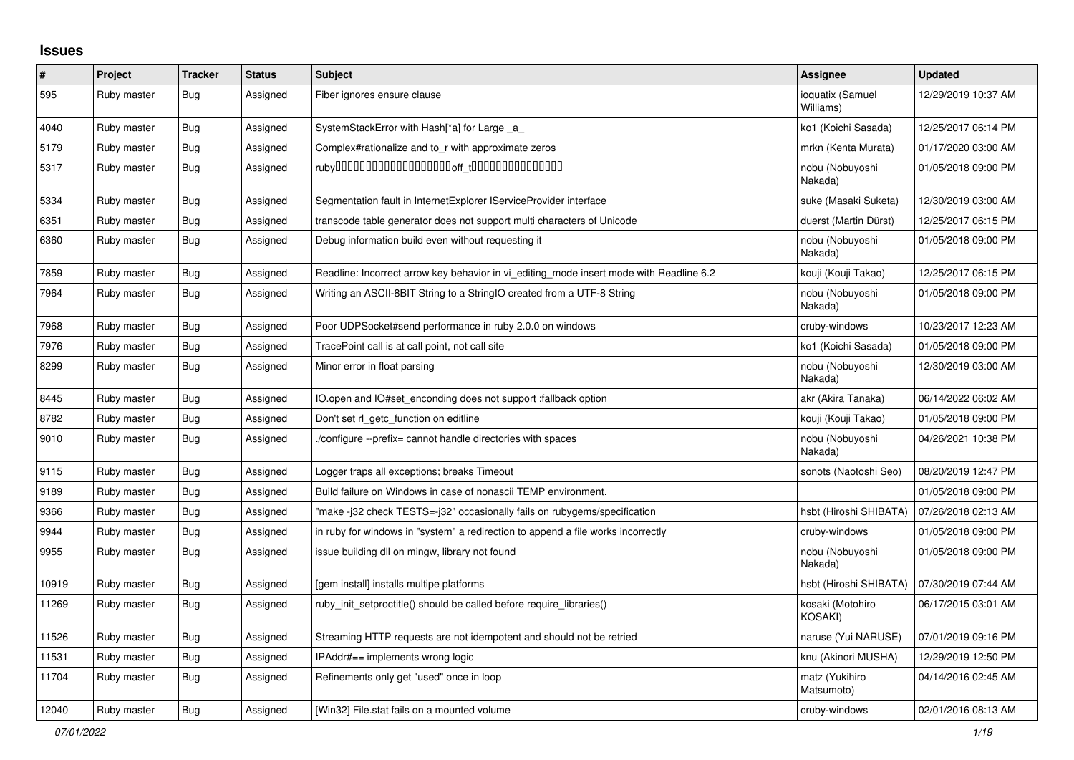## **Issues**

| $\pmb{\#}$ | Project     | <b>Tracker</b> | <b>Status</b> | <b>Subject</b>                                                                          | Assignee                           | <b>Updated</b>      |
|------------|-------------|----------------|---------------|-----------------------------------------------------------------------------------------|------------------------------------|---------------------|
| 595        | Ruby master | <b>Bug</b>     | Assigned      | Fiber ignores ensure clause                                                             | ioquatix (Samuel<br>Williams)      | 12/29/2019 10:37 AM |
| 4040       | Ruby master | <b>Bug</b>     | Assigned      | SystemStackError with Hash[*a] for Large _a_                                            | ko1 (Koichi Sasada)                | 12/25/2017 06:14 PM |
| 5179       | Ruby master | <b>Bug</b>     | Assigned      | Complex#rationalize and to_r with approximate zeros                                     | mrkn (Kenta Murata)                | 01/17/2020 03:00 AM |
| 5317       | Ruby master | <b>Bug</b>     | Assigned      |                                                                                         | nobu (Nobuyoshi<br>Nakada)         | 01/05/2018 09:00 PM |
| 5334       | Ruby master | <b>Bug</b>     | Assigned      | Segmentation fault in InternetExplorer IServiceProvider interface                       | suke (Masaki Suketa)               | 12/30/2019 03:00 AM |
| 6351       | Ruby master | Bug            | Assigned      | transcode table generator does not support multi characters of Unicode                  | duerst (Martin Dürst)              | 12/25/2017 06:15 PM |
| 6360       | Ruby master | <b>Bug</b>     | Assigned      | Debug information build even without requesting it                                      | nobu (Nobuyoshi<br>Nakada)         | 01/05/2018 09:00 PM |
| 7859       | Ruby master | <b>Bug</b>     | Assigned      | Readline: Incorrect arrow key behavior in vi_editing_mode insert mode with Readline 6.2 | kouji (Kouji Takao)                | 12/25/2017 06:15 PM |
| 7964       | Ruby master | <b>Bug</b>     | Assigned      | Writing an ASCII-8BIT String to a StringIO created from a UTF-8 String                  | nobu (Nobuyoshi<br>Nakada)         | 01/05/2018 09:00 PM |
| 7968       | Ruby master | <b>Bug</b>     | Assigned      | Poor UDPSocket#send performance in ruby 2.0.0 on windows                                | cruby-windows                      | 10/23/2017 12:23 AM |
| 7976       | Ruby master | <b>Bug</b>     | Assigned      | TracePoint call is at call point, not call site                                         | ko1 (Koichi Sasada)                | 01/05/2018 09:00 PM |
| 8299       | Ruby master | Bug            | Assigned      | Minor error in float parsing                                                            | nobu (Nobuyoshi<br>Nakada)         | 12/30/2019 03:00 AM |
| 8445       | Ruby master | <b>Bug</b>     | Assigned      | IO.open and IO#set enconding does not support :fallback option                          | akr (Akira Tanaka)                 | 06/14/2022 06:02 AM |
| 8782       | Ruby master | Bug            | Assigned      | Don't set rl getc function on editline                                                  | kouji (Kouji Takao)                | 01/05/2018 09:00 PM |
| 9010       | Ruby master | Bug            | Assigned      | /configure --prefix= cannot handle directories with spaces                              | nobu (Nobuyoshi<br>Nakada)         | 04/26/2021 10:38 PM |
| 9115       | Ruby master | <b>Bug</b>     | Assigned      | Logger traps all exceptions; breaks Timeout                                             | sonots (Naotoshi Seo)              | 08/20/2019 12:47 PM |
| 9189       | Ruby master | Bug            | Assigned      | Build failure on Windows in case of nonascii TEMP environment.                          |                                    | 01/05/2018 09:00 PM |
| 9366       | Ruby master | Bug            | Assigned      | "make-i32 check TESTS=-i32" occasionally fails on rubygems/specification                | hsbt (Hiroshi SHIBATA)             | 07/26/2018 02:13 AM |
| 9944       | Ruby master | <b>Bug</b>     | Assigned      | in ruby for windows in "system" a redirection to append a file works incorrectly        | cruby-windows                      | 01/05/2018 09:00 PM |
| 9955       | Ruby master | <b>Bug</b>     | Assigned      | issue building dll on mingw, library not found                                          | nobu (Nobuyoshi<br>Nakada)         | 01/05/2018 09:00 PM |
| 10919      | Ruby master | <b>Bug</b>     | Assigned      | [gem install] installs multipe platforms                                                | hsbt (Hiroshi SHIBATA)             | 07/30/2019 07:44 AM |
| 11269      | Ruby master | <b>Bug</b>     | Assigned      | ruby_init_setproctitle() should be called before require_libraries()                    | kosaki (Motohiro<br><b>KOSAKI)</b> | 06/17/2015 03:01 AM |
| 11526      | Ruby master | <b>Bug</b>     | Assigned      | Streaming HTTP requests are not idempotent and should not be retried                    | naruse (Yui NARUSE)                | 07/01/2019 09:16 PM |
| 11531      | Ruby master | <b>Bug</b>     | Assigned      | IPAddr#== implements wrong logic                                                        | knu (Akinori MUSHA)                | 12/29/2019 12:50 PM |
| 11704      | Ruby master | Bug            | Assigned      | Refinements only get "used" once in loop                                                | matz (Yukihiro<br>Matsumoto)       | 04/14/2016 02:45 AM |
| 12040      | Ruby master | Bug            | Assigned      | [Win32] File.stat fails on a mounted volume                                             | cruby-windows                      | 02/01/2016 08:13 AM |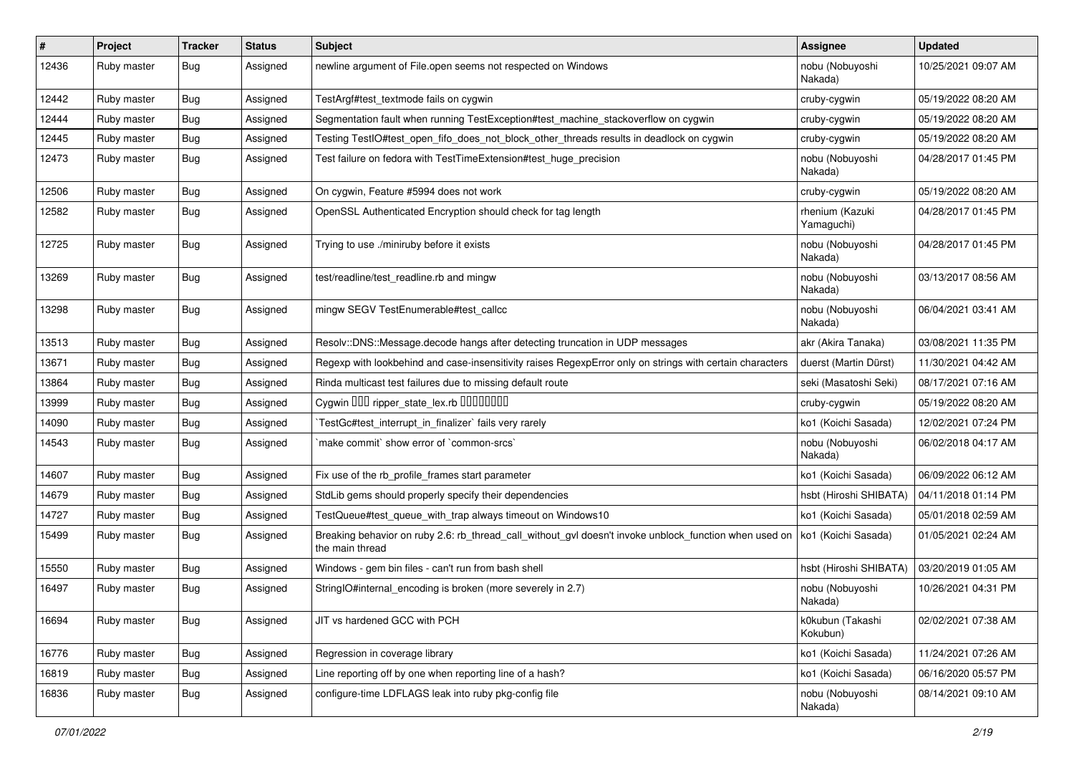| $\vert$ # | Project     | <b>Tracker</b> | <b>Status</b> | <b>Subject</b>                                                                                                            | <b>Assignee</b>               | <b>Updated</b>      |
|-----------|-------------|----------------|---------------|---------------------------------------------------------------------------------------------------------------------------|-------------------------------|---------------------|
| 12436     | Ruby master | Bug            | Assigned      | newline argument of File.open seems not respected on Windows                                                              | nobu (Nobuyoshi<br>Nakada)    | 10/25/2021 09:07 AM |
| 12442     | Ruby master | Bug            | Assigned      | TestArgf#test textmode fails on cygwin                                                                                    | cruby-cygwin                  | 05/19/2022 08:20 AM |
| 12444     | Ruby master | <b>Bug</b>     | Assigned      | Segmentation fault when running TestException#test_machine_stackoverflow on cygwin                                        | cruby-cygwin                  | 05/19/2022 08:20 AM |
| 12445     | Ruby master | <b>Bug</b>     | Assigned      | Testing TestIO#test_open_fifo_does_not_block_other_threads results in deadlock on cygwin                                  | cruby-cygwin                  | 05/19/2022 08:20 AM |
| 12473     | Ruby master | Bug            | Assigned      | Test failure on fedora with TestTimeExtension#test_huge_precision                                                         | nobu (Nobuyoshi<br>Nakada)    | 04/28/2017 01:45 PM |
| 12506     | Ruby master | Bug            | Assigned      | On cygwin, Feature #5994 does not work                                                                                    | cruby-cygwin                  | 05/19/2022 08:20 AM |
| 12582     | Ruby master | Bug            | Assigned      | OpenSSL Authenticated Encryption should check for tag length                                                              | rhenium (Kazuki<br>Yamaguchi) | 04/28/2017 01:45 PM |
| 12725     | Ruby master | <b>Bug</b>     | Assigned      | Trying to use ./miniruby before it exists                                                                                 | nobu (Nobuyoshi<br>Nakada)    | 04/28/2017 01:45 PM |
| 13269     | Ruby master | <b>Bug</b>     | Assigned      | test/readline/test_readline.rb and mingw                                                                                  | nobu (Nobuyoshi<br>Nakada)    | 03/13/2017 08:56 AM |
| 13298     | Ruby master | <b>Bug</b>     | Assigned      | mingw SEGV TestEnumerable#test callcc                                                                                     | nobu (Nobuyoshi<br>Nakada)    | 06/04/2021 03:41 AM |
| 13513     | Ruby master | Bug            | Assigned      | Resolv::DNS::Message.decode hangs after detecting truncation in UDP messages                                              | akr (Akira Tanaka)            | 03/08/2021 11:35 PM |
| 13671     | Ruby master | <b>Bug</b>     | Assigned      | Regexp with lookbehind and case-insensitivity raises RegexpError only on strings with certain characters                  | duerst (Martin Dürst)         | 11/30/2021 04:42 AM |
| 13864     | Ruby master | <b>Bug</b>     | Assigned      | Rinda multicast test failures due to missing default route                                                                | seki (Masatoshi Seki)         | 08/17/2021 07:16 AM |
| 13999     | Ruby master | <b>Bug</b>     | Assigned      | Cygwin DDD ripper_state_lex.rb DDDDDDDD                                                                                   | cruby-cygwin                  | 05/19/2022 08:20 AM |
| 14090     | Ruby master | Bug            | Assigned      | TestGc#test_interrupt_in_finalizer` fails very rarely                                                                     | ko1 (Koichi Sasada)           | 12/02/2021 07:24 PM |
| 14543     | Ruby master | Bug            | Assigned      | 'make commit' show error of 'common-srcs'                                                                                 | nobu (Nobuyoshi<br>Nakada)    | 06/02/2018 04:17 AM |
| 14607     | Ruby master | Bug            | Assigned      | Fix use of the rb_profile_frames start parameter                                                                          | ko1 (Koichi Sasada)           | 06/09/2022 06:12 AM |
| 14679     | Ruby master | Bug            | Assigned      | StdLib gems should properly specify their dependencies                                                                    | hsbt (Hiroshi SHIBATA)        | 04/11/2018 01:14 PM |
| 14727     | Ruby master | <b>Bug</b>     | Assigned      | TestQueue#test_queue_with_trap always timeout on Windows10                                                                | ko1 (Koichi Sasada)           | 05/01/2018 02:59 AM |
| 15499     | Ruby master | <b>Bug</b>     | Assigned      | Breaking behavior on ruby 2.6: rb_thread_call_without_gvl doesn't invoke unblock_function when used on<br>the main thread | ko1 (Koichi Sasada)           | 01/05/2021 02:24 AM |
| 15550     | Ruby master | Bug            | Assigned      | Windows - gem bin files - can't run from bash shell                                                                       | hsbt (Hiroshi SHIBATA)        | 03/20/2019 01:05 AM |
| 16497     | Ruby master | Bug            | Assigned      | StringIO#internal_encoding is broken (more severely in 2.7)                                                               | nobu (Nobuyoshi<br>Nakada)    | 10/26/2021 04:31 PM |
| 16694     | Ruby master | Bug            | Assigned      | JIT vs hardened GCC with PCH                                                                                              | k0kubun (Takashi<br>Kokubun)  | 02/02/2021 07:38 AM |
| 16776     | Ruby master | <b>Bug</b>     | Assigned      | Regression in coverage library                                                                                            | ko1 (Koichi Sasada)           | 11/24/2021 07:26 AM |
| 16819     | Ruby master | <b>Bug</b>     | Assigned      | Line reporting off by one when reporting line of a hash?                                                                  | ko1 (Koichi Sasada)           | 06/16/2020 05:57 PM |
| 16836     | Ruby master | <b>Bug</b>     | Assigned      | configure-time LDFLAGS leak into ruby pkg-config file                                                                     | nobu (Nobuyoshi<br>Nakada)    | 08/14/2021 09:10 AM |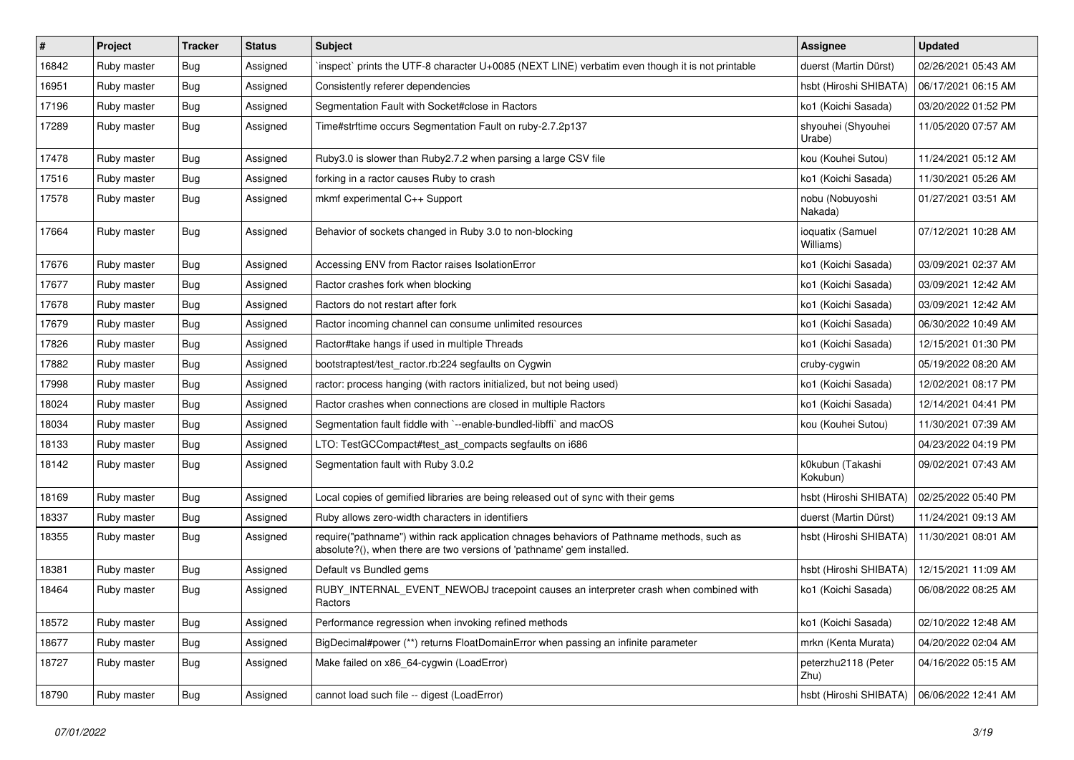| #     | Project     | <b>Tracker</b> | <b>Status</b> | Subject                                                                                                                                                             | <b>Assignee</b>               | <b>Updated</b>      |
|-------|-------------|----------------|---------------|---------------------------------------------------------------------------------------------------------------------------------------------------------------------|-------------------------------|---------------------|
| 16842 | Ruby master | Bug            | Assigned      | inspect` prints the UTF-8 character U+0085 (NEXT LINE) verbatim even though it is not printable                                                                     | duerst (Martin Dürst)         | 02/26/2021 05:43 AM |
| 16951 | Ruby master | <b>Bug</b>     | Assigned      | Consistently referer dependencies                                                                                                                                   | hsbt (Hiroshi SHIBATA)        | 06/17/2021 06:15 AM |
| 17196 | Ruby master | Bug            | Assigned      | Segmentation Fault with Socket#close in Ractors                                                                                                                     | ko1 (Koichi Sasada)           | 03/20/2022 01:52 PM |
| 17289 | Ruby master | Bug            | Assigned      | Time#strftime occurs Segmentation Fault on ruby-2.7.2p137                                                                                                           | shyouhei (Shyouhei<br>Urabe)  | 11/05/2020 07:57 AM |
| 17478 | Ruby master | Bug            | Assigned      | Ruby 3.0 is slower than Ruby 2.7.2 when parsing a large CSV file                                                                                                    | kou (Kouhei Sutou)            | 11/24/2021 05:12 AM |
| 17516 | Ruby master | <b>Bug</b>     | Assigned      | forking in a ractor causes Ruby to crash                                                                                                                            | ko1 (Koichi Sasada)           | 11/30/2021 05:26 AM |
| 17578 | Ruby master | Bug            | Assigned      | mkmf experimental C++ Support                                                                                                                                       | nobu (Nobuyoshi<br>Nakada)    | 01/27/2021 03:51 AM |
| 17664 | Ruby master | Bug            | Assigned      | Behavior of sockets changed in Ruby 3.0 to non-blocking                                                                                                             | ioquatix (Samuel<br>Williams) | 07/12/2021 10:28 AM |
| 17676 | Ruby master | Bug            | Assigned      | Accessing ENV from Ractor raises IsolationError                                                                                                                     | ko1 (Koichi Sasada)           | 03/09/2021 02:37 AM |
| 17677 | Ruby master | Bug            | Assigned      | Ractor crashes fork when blocking                                                                                                                                   | ko1 (Koichi Sasada)           | 03/09/2021 12:42 AM |
| 17678 | Ruby master | <b>Bug</b>     | Assigned      | Ractors do not restart after fork                                                                                                                                   | ko1 (Koichi Sasada)           | 03/09/2021 12:42 AM |
| 17679 | Ruby master | <b>Bug</b>     | Assigned      | Ractor incoming channel can consume unlimited resources                                                                                                             | ko1 (Koichi Sasada)           | 06/30/2022 10:49 AM |
| 17826 | Ruby master | <b>Bug</b>     | Assigned      | Ractor#take hangs if used in multiple Threads                                                                                                                       | ko1 (Koichi Sasada)           | 12/15/2021 01:30 PM |
| 17882 | Ruby master | <b>Bug</b>     | Assigned      | bootstraptest/test ractor.rb:224 segfaults on Cygwin                                                                                                                | cruby-cygwin                  | 05/19/2022 08:20 AM |
| 17998 | Ruby master | <b>Bug</b>     | Assigned      | ractor: process hanging (with ractors initialized, but not being used)                                                                                              | ko1 (Koichi Sasada)           | 12/02/2021 08:17 PM |
| 18024 | Ruby master | <b>Bug</b>     | Assigned      | Ractor crashes when connections are closed in multiple Ractors                                                                                                      | ko1 (Koichi Sasada)           | 12/14/2021 04:41 PM |
| 18034 | Ruby master | <b>Bug</b>     | Assigned      | Segmentation fault fiddle with `--enable-bundled-libffi` and macOS                                                                                                  | kou (Kouhei Sutou)            | 11/30/2021 07:39 AM |
| 18133 | Ruby master | <b>Bug</b>     | Assigned      | LTO: TestGCCompact#test_ast_compacts segfaults on i686                                                                                                              |                               | 04/23/2022 04:19 PM |
| 18142 | Ruby master | Bug            | Assigned      | Segmentation fault with Ruby 3.0.2                                                                                                                                  | k0kubun (Takashi<br>Kokubun)  | 09/02/2021 07:43 AM |
| 18169 | Ruby master | Bug            | Assigned      | Local copies of gemified libraries are being released out of sync with their gems                                                                                   | hsbt (Hiroshi SHIBATA)        | 02/25/2022 05:40 PM |
| 18337 | Ruby master | <b>Bug</b>     | Assigned      | Ruby allows zero-width characters in identifiers                                                                                                                    | duerst (Martin Dürst)         | 11/24/2021 09:13 AM |
| 18355 | Ruby master | <b>Bug</b>     | Assigned      | require("pathname") within rack application chnages behaviors of Pathname methods, such as<br>absolute?(), when there are two versions of 'pathname' gem installed. | hsbt (Hiroshi SHIBATA)        | 11/30/2021 08:01 AM |
| 18381 | Ruby master | Bug            | Assigned      | Default vs Bundled gems                                                                                                                                             | hsbt (Hiroshi SHIBATA)        | 12/15/2021 11:09 AM |
| 18464 | Ruby master | Bug            | Assigned      | RUBY_INTERNAL_EVENT_NEWOBJ tracepoint causes an interpreter crash when combined with<br>Ractors                                                                     | ko1 (Koichi Sasada)           | 06/08/2022 08:25 AM |
| 18572 | Ruby master | <b>Bug</b>     | Assigned      | Performance regression when invoking refined methods                                                                                                                | ko1 (Koichi Sasada)           | 02/10/2022 12:48 AM |
| 18677 | Ruby master | <b>Bug</b>     | Assigned      | BigDecimal#power (**) returns FloatDomainError when passing an infinite parameter                                                                                   | mrkn (Kenta Murata)           | 04/20/2022 02:04 AM |
| 18727 | Ruby master | <b>Bug</b>     | Assigned      | Make failed on x86_64-cygwin (LoadError)                                                                                                                            | peterzhu2118 (Peter<br>Zhu)   | 04/16/2022 05:15 AM |
| 18790 | Ruby master | <b>Bug</b>     | Assigned      | cannot load such file -- digest (LoadError)                                                                                                                         | hsbt (Hiroshi SHIBATA)        | 06/06/2022 12:41 AM |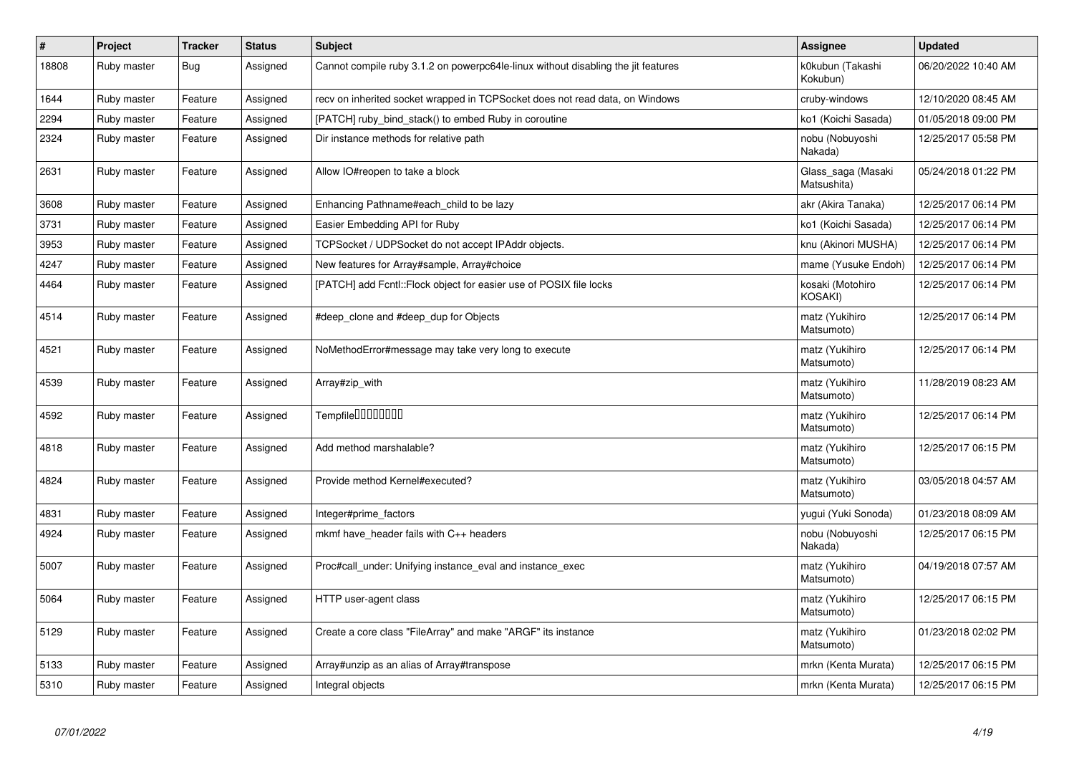| $\pmb{\#}$ | Project     | <b>Tracker</b> | <b>Status</b> | <b>Subject</b>                                                                    | Assignee                           | <b>Updated</b>      |
|------------|-------------|----------------|---------------|-----------------------------------------------------------------------------------|------------------------------------|---------------------|
| 18808      | Ruby master | Bug            | Assigned      | Cannot compile ruby 3.1.2 on powerpc64le-linux without disabling the jit features | k0kubun (Takashi<br>Kokubun)       | 06/20/2022 10:40 AM |
| 1644       | Ruby master | Feature        | Assigned      | recv on inherited socket wrapped in TCPSocket does not read data, on Windows      | cruby-windows                      | 12/10/2020 08:45 AM |
| 2294       | Ruby master | Feature        | Assigned      | [PATCH] ruby bind stack() to embed Ruby in coroutine                              | ko1 (Koichi Sasada)                | 01/05/2018 09:00 PM |
| 2324       | Ruby master | Feature        | Assigned      | Dir instance methods for relative path                                            | nobu (Nobuyoshi<br>Nakada)         | 12/25/2017 05:58 PM |
| 2631       | Ruby master | Feature        | Assigned      | Allow IO#reopen to take a block                                                   | Glass_saga (Masaki<br>Matsushita)  | 05/24/2018 01:22 PM |
| 3608       | Ruby master | Feature        | Assigned      | Enhancing Pathname#each_child to be lazy                                          | akr (Akira Tanaka)                 | 12/25/2017 06:14 PM |
| 3731       | Ruby master | Feature        | Assigned      | Easier Embedding API for Ruby                                                     | ko1 (Koichi Sasada)                | 12/25/2017 06:14 PM |
| 3953       | Ruby master | Feature        | Assigned      | TCPSocket / UDPSocket do not accept IPAddr objects.                               | knu (Akinori MUSHA)                | 12/25/2017 06:14 PM |
| 4247       | Ruby master | Feature        | Assigned      | New features for Array#sample, Array#choice                                       | mame (Yusuke Endoh)                | 12/25/2017 06:14 PM |
| 4464       | Ruby master | Feature        | Assigned      | [PATCH] add Fcntl:: Flock object for easier use of POSIX file locks               | kosaki (Motohiro<br><b>KOSAKI)</b> | 12/25/2017 06:14 PM |
| 4514       | Ruby master | Feature        | Assigned      | #deep_clone and #deep_dup for Objects                                             | matz (Yukihiro<br>Matsumoto)       | 12/25/2017 06:14 PM |
| 4521       | Ruby master | Feature        | Assigned      | NoMethodError#message may take very long to execute                               | matz (Yukihiro<br>Matsumoto)       | 12/25/2017 06:14 PM |
| 4539       | Ruby master | Feature        | Assigned      | Array#zip_with                                                                    | matz (Yukihiro<br>Matsumoto)       | 11/28/2019 08:23 AM |
| 4592       | Ruby master | Feature        | Assigned      | Tempfile0000000                                                                   | matz (Yukihiro<br>Matsumoto)       | 12/25/2017 06:14 PM |
| 4818       | Ruby master | Feature        | Assigned      | Add method marshalable?                                                           | matz (Yukihiro<br>Matsumoto)       | 12/25/2017 06:15 PM |
| 4824       | Ruby master | Feature        | Assigned      | Provide method Kernel#executed?                                                   | matz (Yukihiro<br>Matsumoto)       | 03/05/2018 04:57 AM |
| 4831       | Ruby master | Feature        | Assigned      | Integer#prime factors                                                             | yugui (Yuki Sonoda)                | 01/23/2018 08:09 AM |
| 4924       | Ruby master | Feature        | Assigned      | mkmf have header fails with C++ headers                                           | nobu (Nobuyoshi<br>Nakada)         | 12/25/2017 06:15 PM |
| 5007       | Ruby master | Feature        | Assigned      | Proc#call_under: Unifying instance_eval and instance_exec                         | matz (Yukihiro<br>Matsumoto)       | 04/19/2018 07:57 AM |
| 5064       | Ruby master | Feature        | Assigned      | HTTP user-agent class                                                             | matz (Yukihiro<br>Matsumoto)       | 12/25/2017 06:15 PM |
| 5129       | Ruby master | Feature        | Assigned      | Create a core class "FileArray" and make "ARGF" its instance                      | matz (Yukihiro<br>Matsumoto)       | 01/23/2018 02:02 PM |
| 5133       | Ruby master | Feature        | Assigned      | Array#unzip as an alias of Array#transpose                                        | mrkn (Kenta Murata)                | 12/25/2017 06:15 PM |
| 5310       | Ruby master | Feature        | Assigned      | Integral objects                                                                  | mrkn (Kenta Murata)                | 12/25/2017 06:15 PM |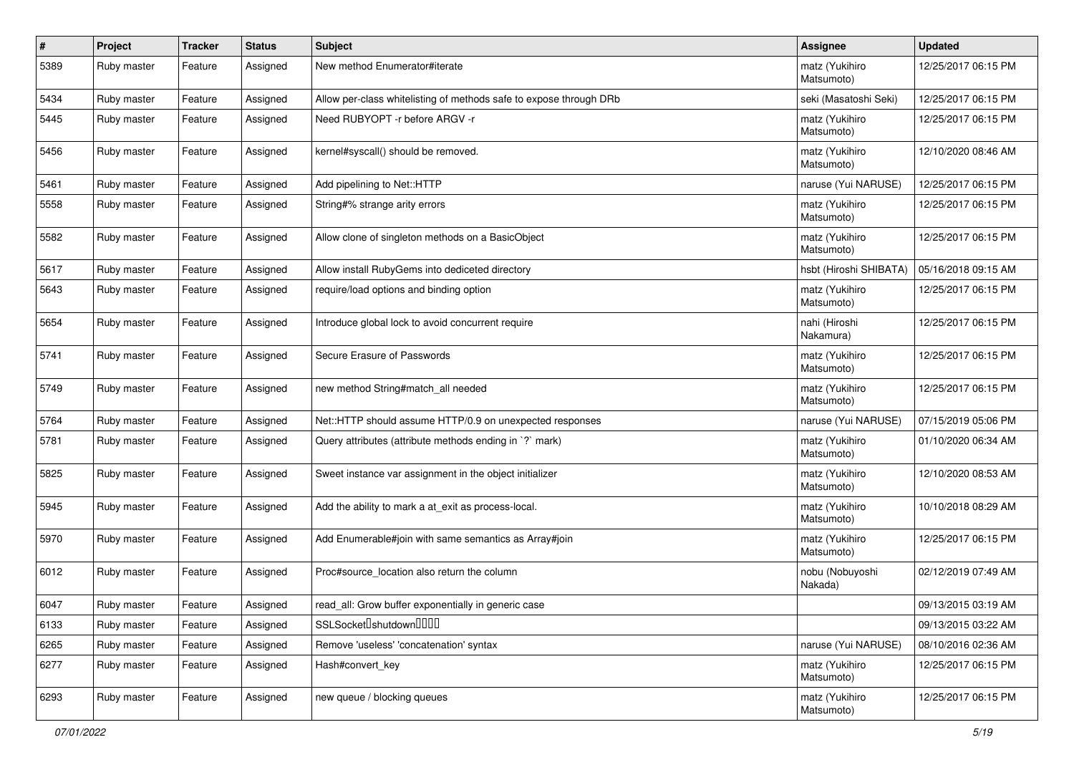| $\pmb{\#}$ | Project     | <b>Tracker</b> | <b>Status</b> | Subject                                                            | <b>Assignee</b>              | <b>Updated</b>      |
|------------|-------------|----------------|---------------|--------------------------------------------------------------------|------------------------------|---------------------|
| 5389       | Ruby master | Feature        | Assigned      | New method Enumerator#iterate                                      | matz (Yukihiro<br>Matsumoto) | 12/25/2017 06:15 PM |
| 5434       | Ruby master | Feature        | Assigned      | Allow per-class whitelisting of methods safe to expose through DRb | seki (Masatoshi Seki)        | 12/25/2017 06:15 PM |
| 5445       | Ruby master | Feature        | Assigned      | Need RUBYOPT - r before ARGV - r                                   | matz (Yukihiro<br>Matsumoto) | 12/25/2017 06:15 PM |
| 5456       | Ruby master | Feature        | Assigned      | kernel#syscall() should be removed.                                | matz (Yukihiro<br>Matsumoto) | 12/10/2020 08:46 AM |
| 5461       | Ruby master | Feature        | Assigned      | Add pipelining to Net::HTTP                                        | naruse (Yui NARUSE)          | 12/25/2017 06:15 PM |
| 5558       | Ruby master | Feature        | Assigned      | String#% strange arity errors                                      | matz (Yukihiro<br>Matsumoto) | 12/25/2017 06:15 PM |
| 5582       | Ruby master | Feature        | Assigned      | Allow clone of singleton methods on a BasicObject                  | matz (Yukihiro<br>Matsumoto) | 12/25/2017 06:15 PM |
| 5617       | Ruby master | Feature        | Assigned      | Allow install RubyGems into dediceted directory                    | hsbt (Hiroshi SHIBATA)       | 05/16/2018 09:15 AM |
| 5643       | Ruby master | Feature        | Assigned      | require/load options and binding option                            | matz (Yukihiro<br>Matsumoto) | 12/25/2017 06:15 PM |
| 5654       | Ruby master | Feature        | Assigned      | Introduce global lock to avoid concurrent require                  | nahi (Hiroshi<br>Nakamura)   | 12/25/2017 06:15 PM |
| 5741       | Ruby master | Feature        | Assigned      | Secure Erasure of Passwords                                        | matz (Yukihiro<br>Matsumoto) | 12/25/2017 06:15 PM |
| 5749       | Ruby master | Feature        | Assigned      | new method String#match all needed                                 | matz (Yukihiro<br>Matsumoto) | 12/25/2017 06:15 PM |
| 5764       | Ruby master | Feature        | Assigned      | Net::HTTP should assume HTTP/0.9 on unexpected responses           | naruse (Yui NARUSE)          | 07/15/2019 05:06 PM |
| 5781       | Ruby master | Feature        | Assigned      | Query attributes (attribute methods ending in `?` mark)            | matz (Yukihiro<br>Matsumoto) | 01/10/2020 06:34 AM |
| 5825       | Ruby master | Feature        | Assigned      | Sweet instance var assignment in the object initializer            | matz (Yukihiro<br>Matsumoto) | 12/10/2020 08:53 AM |
| 5945       | Ruby master | Feature        | Assigned      | Add the ability to mark a at_exit as process-local.                | matz (Yukihiro<br>Matsumoto) | 10/10/2018 08:29 AM |
| 5970       | Ruby master | Feature        | Assigned      | Add Enumerable#join with same semantics as Array#join              | matz (Yukihiro<br>Matsumoto) | 12/25/2017 06:15 PM |
| 6012       | Ruby master | Feature        | Assigned      | Proc#source_location also return the column                        | nobu (Nobuyoshi<br>Nakada)   | 02/12/2019 07:49 AM |
| 6047       | Ruby master | Feature        | Assigned      | read_all: Grow buffer exponentially in generic case                |                              | 09/13/2015 03:19 AM |
| 6133       | Ruby master | Feature        | Assigned      | SSLSocket <sup>[</sup> shutdown <sup>[11]</sup>                    |                              | 09/13/2015 03:22 AM |
| 6265       | Ruby master | Feature        | Assigned      | Remove 'useless' 'concatenation' syntax                            | naruse (Yui NARUSE)          | 08/10/2016 02:36 AM |
| 6277       | Ruby master | Feature        | Assigned      | Hash#convert key                                                   | matz (Yukihiro<br>Matsumoto) | 12/25/2017 06:15 PM |
| 6293       | Ruby master | Feature        | Assigned      | new queue / blocking queues                                        | matz (Yukihiro<br>Matsumoto) | 12/25/2017 06:15 PM |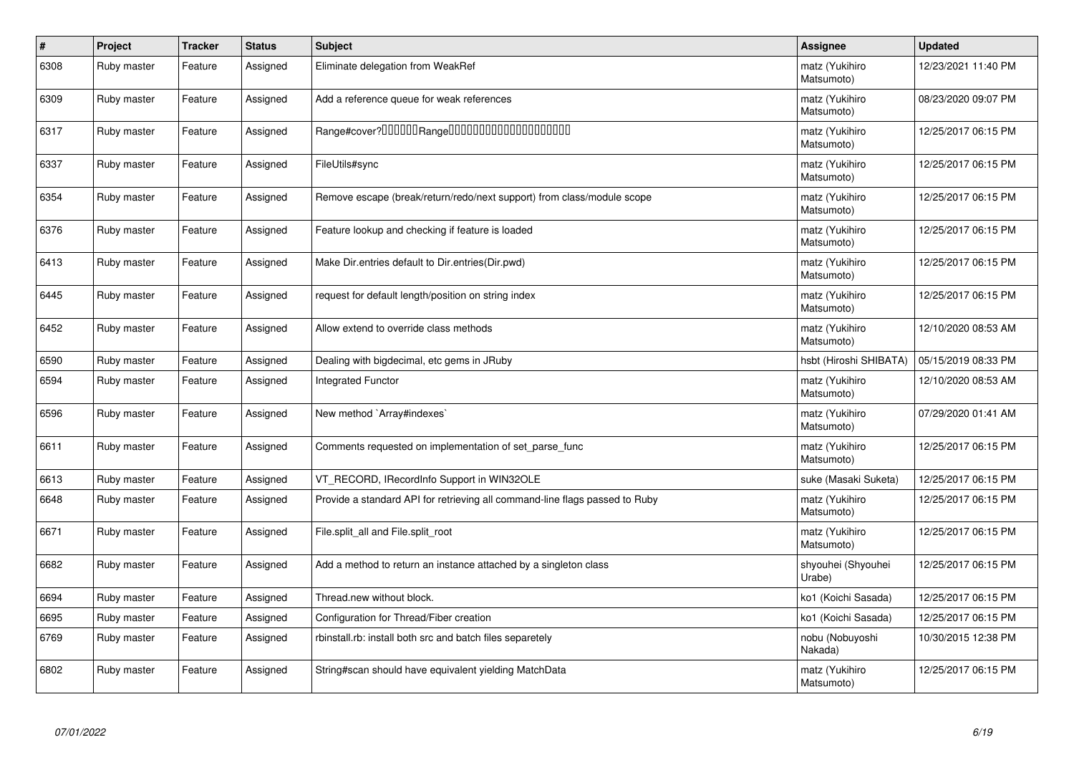| $\pmb{\#}$ | Project     | <b>Tracker</b> | <b>Status</b> | <b>Subject</b>                                                              | <b>Assignee</b>              | <b>Updated</b>      |
|------------|-------------|----------------|---------------|-----------------------------------------------------------------------------|------------------------------|---------------------|
| 6308       | Ruby master | Feature        | Assigned      | Eliminate delegation from WeakRef                                           | matz (Yukihiro<br>Matsumoto) | 12/23/2021 11:40 PM |
| 6309       | Ruby master | Feature        | Assigned      | Add a reference queue for weak references                                   | matz (Yukihiro<br>Matsumoto) | 08/23/2020 09:07 PM |
| 6317       | Ruby master | Feature        | Assigned      |                                                                             | matz (Yukihiro<br>Matsumoto) | 12/25/2017 06:15 PM |
| 6337       | Ruby master | Feature        | Assigned      | FileUtils#sync                                                              | matz (Yukihiro<br>Matsumoto) | 12/25/2017 06:15 PM |
| 6354       | Ruby master | Feature        | Assigned      | Remove escape (break/return/redo/next support) from class/module scope      | matz (Yukihiro<br>Matsumoto) | 12/25/2017 06:15 PM |
| 6376       | Ruby master | Feature        | Assigned      | Feature lookup and checking if feature is loaded                            | matz (Yukihiro<br>Matsumoto) | 12/25/2017 06:15 PM |
| 6413       | Ruby master | Feature        | Assigned      | Make Dir.entries default to Dir.entries (Dir.pwd)                           | matz (Yukihiro<br>Matsumoto) | 12/25/2017 06:15 PM |
| 6445       | Ruby master | Feature        | Assigned      | request for default length/position on string index                         | matz (Yukihiro<br>Matsumoto) | 12/25/2017 06:15 PM |
| 6452       | Ruby master | Feature        | Assigned      | Allow extend to override class methods                                      | matz (Yukihiro<br>Matsumoto) | 12/10/2020 08:53 AM |
| 6590       | Ruby master | Feature        | Assigned      | Dealing with bigdecimal, etc gems in JRuby                                  | hsbt (Hiroshi SHIBATA)       | 05/15/2019 08:33 PM |
| 6594       | Ruby master | Feature        | Assigned      | Integrated Functor                                                          | matz (Yukihiro<br>Matsumoto) | 12/10/2020 08:53 AM |
| 6596       | Ruby master | Feature        | Assigned      | New method `Array#indexes`                                                  | matz (Yukihiro<br>Matsumoto) | 07/29/2020 01:41 AM |
| 6611       | Ruby master | Feature        | Assigned      | Comments requested on implementation of set parse func                      | matz (Yukihiro<br>Matsumoto) | 12/25/2017 06:15 PM |
| 6613       | Ruby master | Feature        | Assigned      | VT_RECORD, IRecordInfo Support in WIN32OLE                                  | suke (Masaki Suketa)         | 12/25/2017 06:15 PM |
| 6648       | Ruby master | Feature        | Assigned      | Provide a standard API for retrieving all command-line flags passed to Ruby | matz (Yukihiro<br>Matsumoto) | 12/25/2017 06:15 PM |
| 6671       | Ruby master | Feature        | Assigned      | File.split_all and File.split_root                                          | matz (Yukihiro<br>Matsumoto) | 12/25/2017 06:15 PM |
| 6682       | Ruby master | Feature        | Assigned      | Add a method to return an instance attached by a singleton class            | shyouhei (Shyouhei<br>Urabe) | 12/25/2017 06:15 PM |
| 6694       | Ruby master | Feature        | Assigned      | Thread.new without block.                                                   | ko1 (Koichi Sasada)          | 12/25/2017 06:15 PM |
| 6695       | Ruby master | Feature        | Assigned      | Configuration for Thread/Fiber creation                                     | ko1 (Koichi Sasada)          | 12/25/2017 06:15 PM |
| 6769       | Ruby master | Feature        | Assigned      | rbinstall.rb: install both src and batch files separetely                   | nobu (Nobuyoshi<br>Nakada)   | 10/30/2015 12:38 PM |
| 6802       | Ruby master | Feature        | Assigned      | String#scan should have equivalent yielding MatchData                       | matz (Yukihiro<br>Matsumoto) | 12/25/2017 06:15 PM |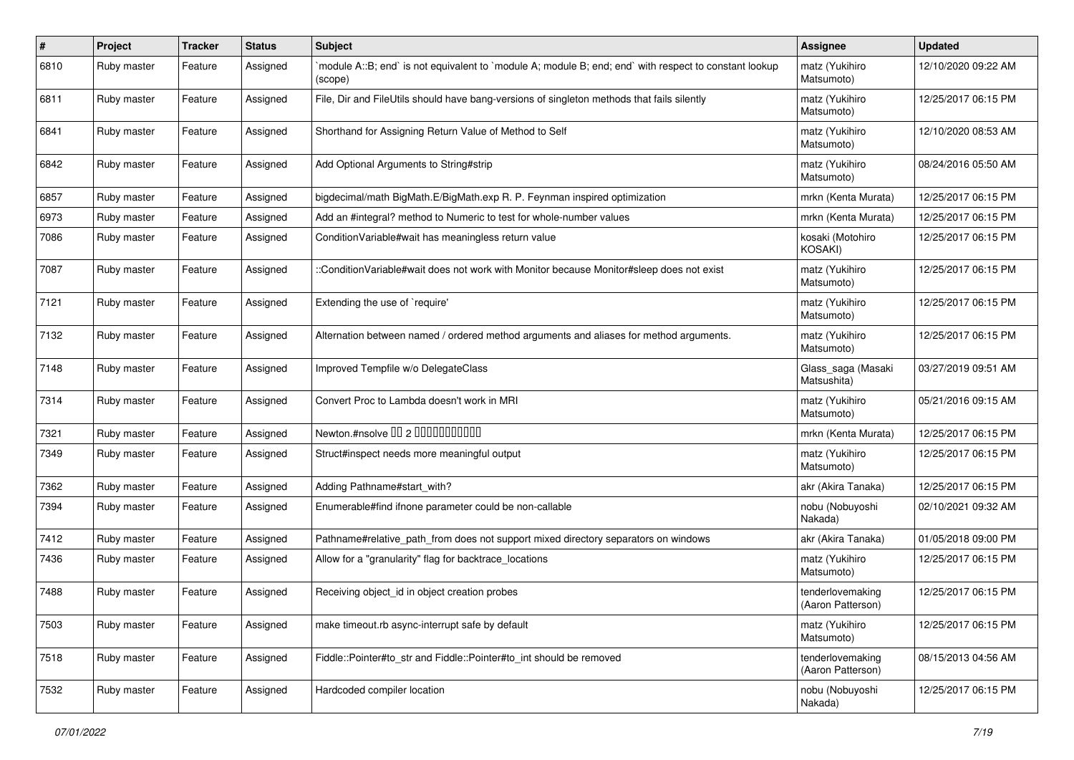| ∦    | Project     | <b>Tracker</b> | <b>Status</b> | Subject                                                                                                          | <b>Assignee</b>                       | <b>Updated</b>      |
|------|-------------|----------------|---------------|------------------------------------------------------------------------------------------------------------------|---------------------------------------|---------------------|
| 6810 | Ruby master | Feature        | Assigned      | module A::B; end` is not equivalent to `module A; module B; end; end` with respect to constant lookup<br>(scope) | matz (Yukihiro<br>Matsumoto)          | 12/10/2020 09:22 AM |
| 6811 | Ruby master | Feature        | Assigned      | File, Dir and FileUtils should have bang-versions of singleton methods that fails silently                       | matz (Yukihiro<br>Matsumoto)          | 12/25/2017 06:15 PM |
| 6841 | Ruby master | Feature        | Assigned      | Shorthand for Assigning Return Value of Method to Self                                                           | matz (Yukihiro<br>Matsumoto)          | 12/10/2020 08:53 AM |
| 6842 | Ruby master | Feature        | Assigned      | Add Optional Arguments to String#strip                                                                           | matz (Yukihiro<br>Matsumoto)          | 08/24/2016 05:50 AM |
| 6857 | Ruby master | Feature        | Assigned      | bigdecimal/math BigMath.E/BigMath.exp R. P. Feynman inspired optimization                                        | mrkn (Kenta Murata)                   | 12/25/2017 06:15 PM |
| 6973 | Ruby master | Feature        | Assigned      | Add an #integral? method to Numeric to test for whole-number values                                              | mrkn (Kenta Murata)                   | 12/25/2017 06:15 PM |
| 7086 | Ruby master | Feature        | Assigned      | Condition Variable#wait has meaningless return value                                                             | kosaki (Motohiro<br>KOSAKI)           | 12/25/2017 06:15 PM |
| 7087 | Ruby master | Feature        | Assigned      | :ConditionVariable#wait does not work with Monitor because Monitor#sleep does not exist                          | matz (Yukihiro<br>Matsumoto)          | 12/25/2017 06:15 PM |
| 7121 | Ruby master | Feature        | Assigned      | Extending the use of `require'                                                                                   | matz (Yukihiro<br>Matsumoto)          | 12/25/2017 06:15 PM |
| 7132 | Ruby master | Feature        | Assigned      | Alternation between named / ordered method arguments and aliases for method arguments.                           | matz (Yukihiro<br>Matsumoto)          | 12/25/2017 06:15 PM |
| 7148 | Ruby master | Feature        | Assigned      | Improved Tempfile w/o DelegateClass                                                                              | Glass_saga (Masaki<br>Matsushita)     | 03/27/2019 09:51 AM |
| 7314 | Ruby master | Feature        | Assigned      | Convert Proc to Lambda doesn't work in MRI                                                                       | matz (Yukihiro<br>Matsumoto)          | 05/21/2016 09:15 AM |
| 7321 | Ruby master | Feature        | Assigned      | Newton.#nsolve 00 2 00000000000                                                                                  | mrkn (Kenta Murata)                   | 12/25/2017 06:15 PM |
| 7349 | Ruby master | Feature        | Assigned      | Struct#inspect needs more meaningful output                                                                      | matz (Yukihiro<br>Matsumoto)          | 12/25/2017 06:15 PM |
| 7362 | Ruby master | Feature        | Assigned      | Adding Pathname#start_with?                                                                                      | akr (Akira Tanaka)                    | 12/25/2017 06:15 PM |
| 7394 | Ruby master | Feature        | Assigned      | Enumerable#find ifnone parameter could be non-callable                                                           | nobu (Nobuyoshi<br>Nakada)            | 02/10/2021 09:32 AM |
| 7412 | Ruby master | Feature        | Assigned      | Pathname#relative_path_from does not support mixed directory separators on windows                               | akr (Akira Tanaka)                    | 01/05/2018 09:00 PM |
| 7436 | Ruby master | Feature        | Assigned      | Allow for a "granularity" flag for backtrace_locations                                                           | matz (Yukihiro<br>Matsumoto)          | 12/25/2017 06:15 PM |
| 7488 | Ruby master | Feature        | Assigned      | Receiving object_id in object creation probes                                                                    | tenderlovemaking<br>(Aaron Patterson) | 12/25/2017 06:15 PM |
| 7503 | Ruby master | Feature        | Assigned      | make timeout.rb async-interrupt safe by default                                                                  | matz (Yukihiro<br>Matsumoto)          | 12/25/2017 06:15 PM |
| 7518 | Ruby master | Feature        | Assigned      | Fiddle::Pointer#to_str and Fiddle::Pointer#to_int should be removed                                              | tenderlovemaking<br>(Aaron Patterson) | 08/15/2013 04:56 AM |
| 7532 | Ruby master | Feature        | Assigned      | Hardcoded compiler location                                                                                      | nobu (Nobuyoshi<br>Nakada)            | 12/25/2017 06:15 PM |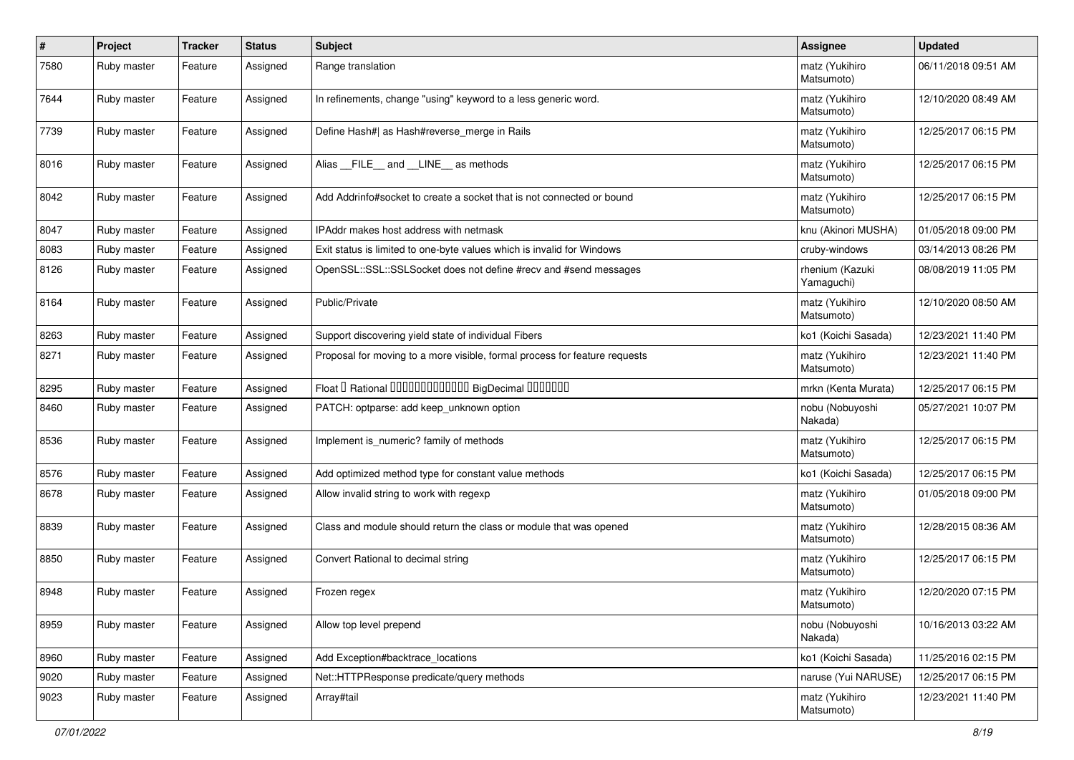| #    | Project     | <b>Tracker</b> | <b>Status</b> | <b>Subject</b>                                                             | <b>Assignee</b>               | <b>Updated</b>      |
|------|-------------|----------------|---------------|----------------------------------------------------------------------------|-------------------------------|---------------------|
| 7580 | Ruby master | Feature        | Assigned      | Range translation                                                          | matz (Yukihiro<br>Matsumoto)  | 06/11/2018 09:51 AM |
| 7644 | Ruby master | Feature        | Assigned      | In refinements, change "using" keyword to a less generic word.             | matz (Yukihiro<br>Matsumoto)  | 12/10/2020 08:49 AM |
| 7739 | Ruby master | Feature        | Assigned      | Define Hash#  as Hash#reverse_merge in Rails                               | matz (Yukihiro<br>Matsumoto)  | 12/25/2017 06:15 PM |
| 8016 | Ruby master | Feature        | Assigned      | Alias FILE and LINE as methods                                             | matz (Yukihiro<br>Matsumoto)  | 12/25/2017 06:15 PM |
| 8042 | Ruby master | Feature        | Assigned      | Add Addrinfo#socket to create a socket that is not connected or bound      | matz (Yukihiro<br>Matsumoto)  | 12/25/2017 06:15 PM |
| 8047 | Ruby master | Feature        | Assigned      | IPAddr makes host address with netmask                                     | knu (Akinori MUSHA)           | 01/05/2018 09:00 PM |
| 8083 | Ruby master | Feature        | Assigned      | Exit status is limited to one-byte values which is invalid for Windows     | cruby-windows                 | 03/14/2013 08:26 PM |
| 8126 | Ruby master | Feature        | Assigned      | OpenSSL::SSL::SSLSocket does not define #recv and #send messages           | rhenium (Kazuki<br>Yamaguchi) | 08/08/2019 11:05 PM |
| 8164 | Ruby master | Feature        | Assigned      | Public/Private                                                             | matz (Yukihiro<br>Matsumoto)  | 12/10/2020 08:50 AM |
| 8263 | Ruby master | Feature        | Assigned      | Support discovering yield state of individual Fibers                       | ko1 (Koichi Sasada)           | 12/23/2021 11:40 PM |
| 8271 | Ruby master | Feature        | Assigned      | Proposal for moving to a more visible, formal process for feature requests | matz (Yukihiro<br>Matsumoto)  | 12/23/2021 11:40 PM |
| 8295 | Ruby master | Feature        | Assigned      | Float I Rational 0000000000000 BigDecimal 0000000                          | mrkn (Kenta Murata)           | 12/25/2017 06:15 PM |
| 8460 | Ruby master | Feature        | Assigned      | PATCH: optparse: add keep_unknown option                                   | nobu (Nobuyoshi<br>Nakada)    | 05/27/2021 10:07 PM |
| 8536 | Ruby master | Feature        | Assigned      | Implement is_numeric? family of methods                                    | matz (Yukihiro<br>Matsumoto)  | 12/25/2017 06:15 PM |
| 8576 | Ruby master | Feature        | Assigned      | Add optimized method type for constant value methods                       | ko1 (Koichi Sasada)           | 12/25/2017 06:15 PM |
| 8678 | Ruby master | Feature        | Assigned      | Allow invalid string to work with regexp                                   | matz (Yukihiro<br>Matsumoto)  | 01/05/2018 09:00 PM |
| 8839 | Ruby master | Feature        | Assigned      | Class and module should return the class or module that was opened         | matz (Yukihiro<br>Matsumoto)  | 12/28/2015 08:36 AM |
| 8850 | Ruby master | Feature        | Assigned      | Convert Rational to decimal string                                         | matz (Yukihiro<br>Matsumoto)  | 12/25/2017 06:15 PM |
| 8948 | Ruby master | Feature        | Assigned      | Frozen regex                                                               | matz (Yukihiro<br>Matsumoto)  | 12/20/2020 07:15 PM |
| 8959 | Ruby master | Feature        | Assigned      | Allow top level prepend                                                    | nobu (Nobuyoshi<br>Nakada)    | 10/16/2013 03:22 AM |
| 8960 | Ruby master | Feature        | Assigned      | Add Exception#backtrace locations                                          | ko1 (Koichi Sasada)           | 11/25/2016 02:15 PM |
| 9020 | Ruby master | Feature        | Assigned      | Net::HTTPResponse predicate/query methods                                  | naruse (Yui NARUSE)           | 12/25/2017 06:15 PM |
| 9023 | Ruby master | Feature        | Assigned      | Array#tail                                                                 | matz (Yukihiro<br>Matsumoto)  | 12/23/2021 11:40 PM |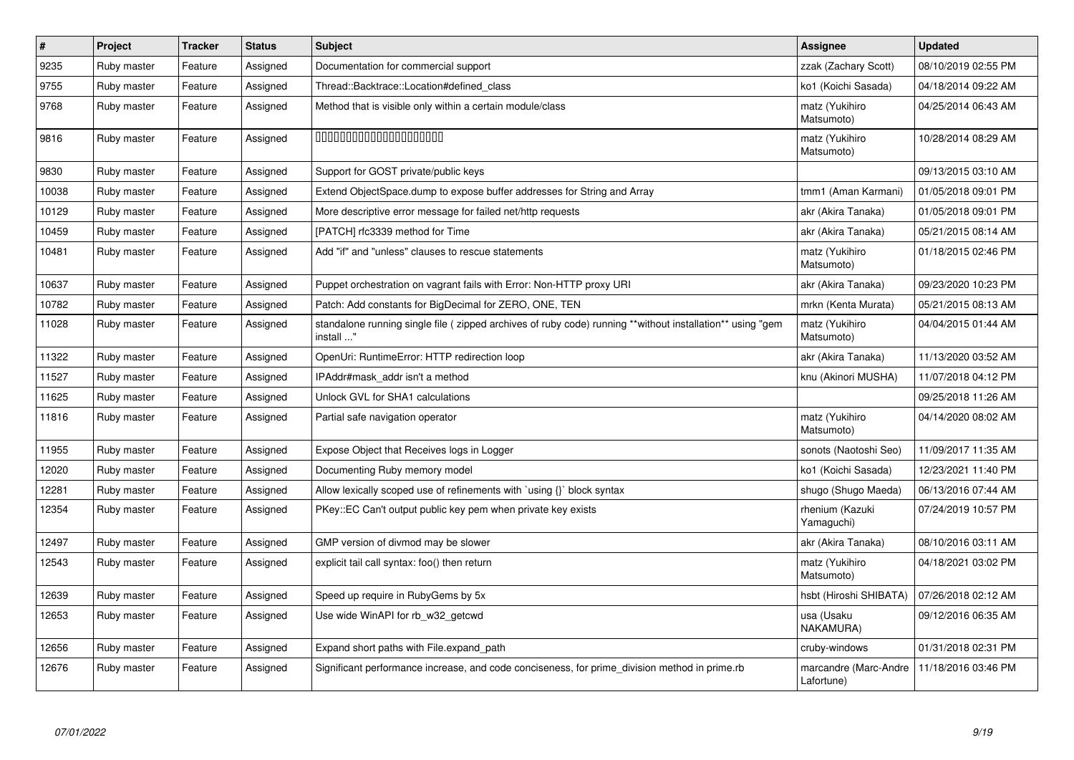| $\pmb{\#}$ | Project     | <b>Tracker</b> | <b>Status</b> | <b>Subject</b>                                                                                                         | Assignee                            | <b>Updated</b>      |
|------------|-------------|----------------|---------------|------------------------------------------------------------------------------------------------------------------------|-------------------------------------|---------------------|
| 9235       | Ruby master | Feature        | Assigned      | Documentation for commercial support                                                                                   | zzak (Zachary Scott)                | 08/10/2019 02:55 PM |
| 9755       | Ruby master | Feature        | Assigned      | Thread::Backtrace::Location#defined class                                                                              | ko1 (Koichi Sasada)                 | 04/18/2014 09:22 AM |
| 9768       | Ruby master | Feature        | Assigned      | Method that is visible only within a certain module/class                                                              | matz (Yukihiro<br>Matsumoto)        | 04/25/2014 06:43 AM |
| 9816       | Ruby master | Feature        | Assigned      | 00000000000000000000                                                                                                   | matz (Yukihiro<br>Matsumoto)        | 10/28/2014 08:29 AM |
| 9830       | Ruby master | Feature        | Assigned      | Support for GOST private/public keys                                                                                   |                                     | 09/13/2015 03:10 AM |
| 10038      | Ruby master | Feature        | Assigned      | Extend ObjectSpace.dump to expose buffer addresses for String and Array                                                | tmm1 (Aman Karmani)                 | 01/05/2018 09:01 PM |
| 10129      | Ruby master | Feature        | Assigned      | More descriptive error message for failed net/http requests                                                            | akr (Akira Tanaka)                  | 01/05/2018 09:01 PM |
| 10459      | Ruby master | Feature        | Assigned      | [PATCH] rfc3339 method for Time                                                                                        | akr (Akira Tanaka)                  | 05/21/2015 08:14 AM |
| 10481      | Ruby master | Feature        | Assigned      | Add "if" and "unless" clauses to rescue statements                                                                     | matz (Yukihiro<br>Matsumoto)        | 01/18/2015 02:46 PM |
| 10637      | Ruby master | Feature        | Assigned      | Puppet orchestration on vagrant fails with Error: Non-HTTP proxy URI                                                   | akr (Akira Tanaka)                  | 09/23/2020 10:23 PM |
| 10782      | Ruby master | Feature        | Assigned      | Patch: Add constants for BigDecimal for ZERO, ONE, TEN                                                                 | mrkn (Kenta Murata)                 | 05/21/2015 08:13 AM |
| 11028      | Ruby master | Feature        | Assigned      | standalone running single file (zipped archives of ruby code) running **without installation** using "gem<br>install " | matz (Yukihiro<br>Matsumoto)        | 04/04/2015 01:44 AM |
| 11322      | Ruby master | Feature        | Assigned      | OpenUri: RuntimeError: HTTP redirection loop                                                                           | akr (Akira Tanaka)                  | 11/13/2020 03:52 AM |
| 11527      | Ruby master | Feature        | Assigned      | IPAddr#mask_addr isn't a method                                                                                        | knu (Akinori MUSHA)                 | 11/07/2018 04:12 PM |
| 11625      | Ruby master | Feature        | Assigned      | Unlock GVL for SHA1 calculations                                                                                       |                                     | 09/25/2018 11:26 AM |
| 11816      | Ruby master | Feature        | Assigned      | Partial safe navigation operator                                                                                       | matz (Yukihiro<br>Matsumoto)        | 04/14/2020 08:02 AM |
| 11955      | Ruby master | Feature        | Assigned      | Expose Object that Receives logs in Logger                                                                             | sonots (Naotoshi Seo)               | 11/09/2017 11:35 AM |
| 12020      | Ruby master | Feature        | Assigned      | Documenting Ruby memory model                                                                                          | ko1 (Koichi Sasada)                 | 12/23/2021 11:40 PM |
| 12281      | Ruby master | Feature        | Assigned      | Allow lexically scoped use of refinements with `using {}` block syntax                                                 | shugo (Shugo Maeda)                 | 06/13/2016 07:44 AM |
| 12354      | Ruby master | Feature        | Assigned      | PKey::EC Can't output public key pem when private key exists                                                           | rhenium (Kazuki<br>Yamaguchi)       | 07/24/2019 10:57 PM |
| 12497      | Ruby master | Feature        | Assigned      | GMP version of divmod may be slower                                                                                    | akr (Akira Tanaka)                  | 08/10/2016 03:11 AM |
| 12543      | Ruby master | Feature        | Assigned      | explicit tail call syntax: foo() then return                                                                           | matz (Yukihiro<br>Matsumoto)        | 04/18/2021 03:02 PM |
| 12639      | Ruby master | Feature        | Assigned      | Speed up require in RubyGems by 5x                                                                                     | hsbt (Hiroshi SHIBATA)              | 07/26/2018 02:12 AM |
| 12653      | Ruby master | Feature        | Assigned      | Use wide WinAPI for rb w32 getcwd                                                                                      | usa (Usaku<br>NAKAMURA)             | 09/12/2016 06:35 AM |
| 12656      | Ruby master | Feature        | Assigned      | Expand short paths with File.expand_path                                                                               | cruby-windows                       | 01/31/2018 02:31 PM |
| 12676      | Ruby master | Feature        | Assigned      | Significant performance increase, and code conciseness, for prime_division method in prime.rb                          | marcandre (Marc-Andre<br>Lafortune) | 11/18/2016 03:46 PM |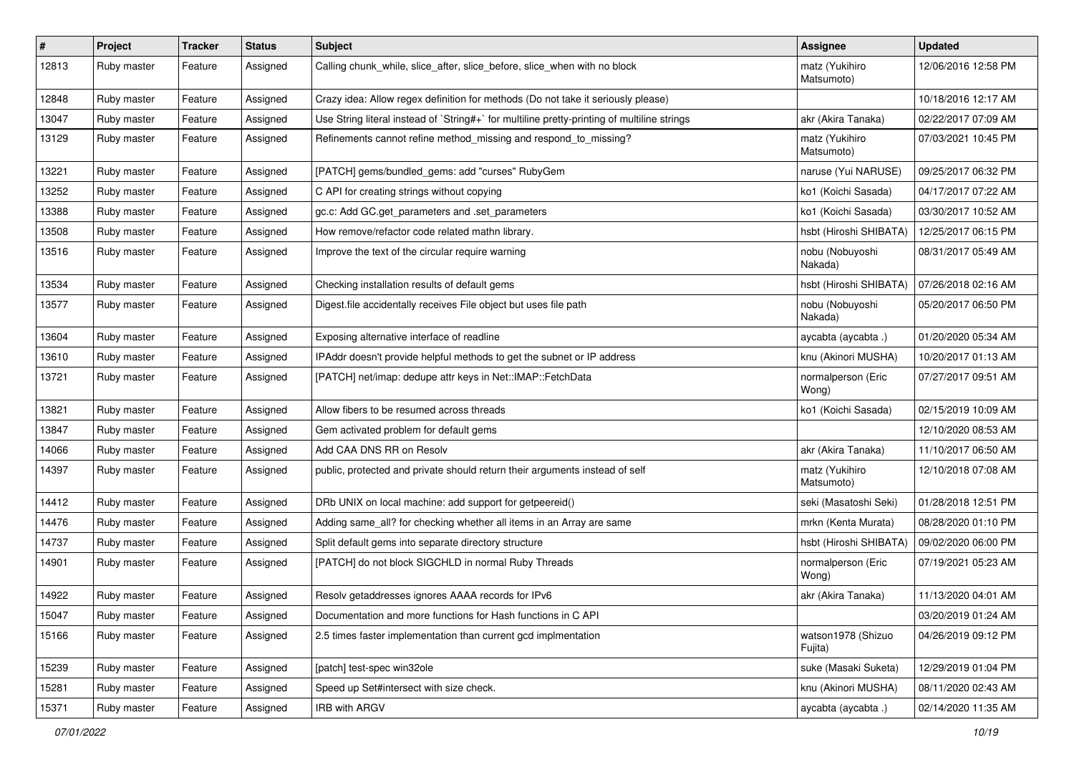| $\pmb{\#}$ | Project     | <b>Tracker</b> | <b>Status</b> | <b>Subject</b>                                                                              | Assignee                      | <b>Updated</b>      |
|------------|-------------|----------------|---------------|---------------------------------------------------------------------------------------------|-------------------------------|---------------------|
| 12813      | Ruby master | Feature        | Assigned      | Calling chunk_while, slice_after, slice_before, slice_when with no block                    | matz (Yukihiro<br>Matsumoto)  | 12/06/2016 12:58 PM |
| 12848      | Ruby master | Feature        | Assigned      | Crazy idea: Allow regex definition for methods (Do not take it seriously please)            |                               | 10/18/2016 12:17 AM |
| 13047      | Ruby master | Feature        | Assigned      | Use String literal instead of `String#+` for multiline pretty-printing of multiline strings | akr (Akira Tanaka)            | 02/22/2017 07:09 AM |
| 13129      | Ruby master | Feature        | Assigned      | Refinements cannot refine method_missing and respond_to_missing?                            | matz (Yukihiro<br>Matsumoto)  | 07/03/2021 10:45 PM |
| 13221      | Ruby master | Feature        | Assigned      | [PATCH] gems/bundled_gems: add "curses" RubyGem                                             | naruse (Yui NARUSE)           | 09/25/2017 06:32 PM |
| 13252      | Ruby master | Feature        | Assigned      | C API for creating strings without copying                                                  | ko1 (Koichi Sasada)           | 04/17/2017 07:22 AM |
| 13388      | Ruby master | Feature        | Assigned      | gc.c: Add GC.get_parameters and .set_parameters                                             | ko1 (Koichi Sasada)           | 03/30/2017 10:52 AM |
| 13508      | Ruby master | Feature        | Assigned      | How remove/refactor code related mathn library.                                             | hsbt (Hiroshi SHIBATA)        | 12/25/2017 06:15 PM |
| 13516      | Ruby master | Feature        | Assigned      | Improve the text of the circular require warning                                            | nobu (Nobuyoshi<br>Nakada)    | 08/31/2017 05:49 AM |
| 13534      | Ruby master | Feature        | Assigned      | Checking installation results of default gems                                               | hsbt (Hiroshi SHIBATA)        | 07/26/2018 02:16 AM |
| 13577      | Ruby master | Feature        | Assigned      | Digest file accidentally receives File object but uses file path                            | nobu (Nobuyoshi<br>Nakada)    | 05/20/2017 06:50 PM |
| 13604      | Ruby master | Feature        | Assigned      | Exposing alternative interface of readline                                                  | aycabta (aycabta .)           | 01/20/2020 05:34 AM |
| 13610      | Ruby master | Feature        | Assigned      | IPAddr doesn't provide helpful methods to get the subnet or IP address                      | knu (Akinori MUSHA)           | 10/20/2017 01:13 AM |
| 13721      | Ruby master | Feature        | Assigned      | [PATCH] net/imap: dedupe attr keys in Net::IMAP::FetchData                                  | normalperson (Eric<br>Wong)   | 07/27/2017 09:51 AM |
| 13821      | Ruby master | Feature        | Assigned      | Allow fibers to be resumed across threads                                                   | ko1 (Koichi Sasada)           | 02/15/2019 10:09 AM |
| 13847      | Ruby master | Feature        | Assigned      | Gem activated problem for default gems                                                      |                               | 12/10/2020 08:53 AM |
| 14066      | Ruby master | Feature        | Assigned      | Add CAA DNS RR on Resolv                                                                    | akr (Akira Tanaka)            | 11/10/2017 06:50 AM |
| 14397      | Ruby master | Feature        | Assigned      | public, protected and private should return their arguments instead of self                 | matz (Yukihiro<br>Matsumoto)  | 12/10/2018 07:08 AM |
| 14412      | Ruby master | Feature        | Assigned      | DRb UNIX on local machine: add support for getpeereid()                                     | seki (Masatoshi Seki)         | 01/28/2018 12:51 PM |
| 14476      | Ruby master | Feature        | Assigned      | Adding same_all? for checking whether all items in an Array are same                        | mrkn (Kenta Murata)           | 08/28/2020 01:10 PM |
| 14737      | Ruby master | Feature        | Assigned      | Split default gems into separate directory structure                                        | hsbt (Hiroshi SHIBATA)        | 09/02/2020 06:00 PM |
| 14901      | Ruby master | Feature        | Assigned      | [PATCH] do not block SIGCHLD in normal Ruby Threads                                         | normalperson (Eric<br>Wong)   | 07/19/2021 05:23 AM |
| 14922      | Ruby master | Feature        | Assigned      | Resolv getaddresses ignores AAAA records for IPv6                                           | akr (Akira Tanaka)            | 11/13/2020 04:01 AM |
| 15047      | Ruby master | Feature        | Assigned      | Documentation and more functions for Hash functions in C API                                |                               | 03/20/2019 01:24 AM |
| 15166      | Ruby master | Feature        | Assigned      | 2.5 times faster implementation than current gcd implmentation                              | watson1978 (Shizuo<br>Fujita) | 04/26/2019 09:12 PM |
| 15239      | Ruby master | Feature        | Assigned      | [patch] test-spec win32ole                                                                  | suke (Masaki Suketa)          | 12/29/2019 01:04 PM |
| 15281      | Ruby master | Feature        | Assigned      | Speed up Set#intersect with size check.                                                     | knu (Akinori MUSHA)           | 08/11/2020 02:43 AM |
| 15371      | Ruby master | Feature        | Assigned      | IRB with ARGV                                                                               | aycabta (aycabta .)           | 02/14/2020 11:35 AM |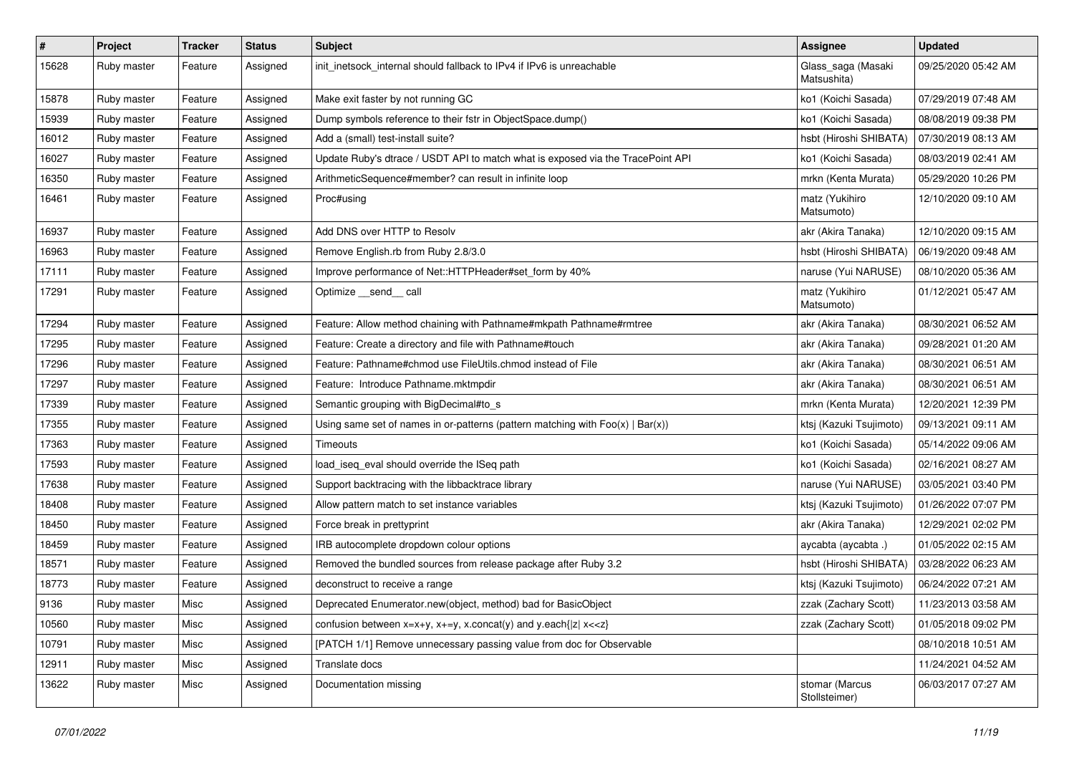| $\sharp$ | Project     | <b>Tracker</b> | <b>Status</b> | <b>Subject</b>                                                                    | <b>Assignee</b>                   | <b>Updated</b>      |
|----------|-------------|----------------|---------------|-----------------------------------------------------------------------------------|-----------------------------------|---------------------|
| 15628    | Ruby master | Feature        | Assigned      | init_inetsock_internal should fallback to IPv4 if IPv6 is unreachable             | Glass_saga (Masaki<br>Matsushita) | 09/25/2020 05:42 AM |
| 15878    | Ruby master | Feature        | Assigned      | Make exit faster by not running GC                                                | ko1 (Koichi Sasada)               | 07/29/2019 07:48 AM |
| 15939    | Ruby master | Feature        | Assigned      | Dump symbols reference to their fstr in ObjectSpace.dump()                        | ko1 (Koichi Sasada)               | 08/08/2019 09:38 PM |
| 16012    | Ruby master | Feature        | Assigned      | Add a (small) test-install suite?                                                 | hsbt (Hiroshi SHIBATA)            | 07/30/2019 08:13 AM |
| 16027    | Ruby master | Feature        | Assigned      | Update Ruby's dtrace / USDT API to match what is exposed via the TracePoint API   | ko1 (Koichi Sasada)               | 08/03/2019 02:41 AM |
| 16350    | Ruby master | Feature        | Assigned      | ArithmeticSequence#member? can result in infinite loop                            | mrkn (Kenta Murata)               | 05/29/2020 10:26 PM |
| 16461    | Ruby master | Feature        | Assigned      | Proc#using                                                                        | matz (Yukihiro<br>Matsumoto)      | 12/10/2020 09:10 AM |
| 16937    | Ruby master | Feature        | Assigned      | Add DNS over HTTP to Resolv                                                       | akr (Akira Tanaka)                | 12/10/2020 09:15 AM |
| 16963    | Ruby master | Feature        | Assigned      | Remove English.rb from Ruby 2.8/3.0                                               | hsbt (Hiroshi SHIBATA)            | 06/19/2020 09:48 AM |
| 17111    | Ruby master | Feature        | Assigned      | Improve performance of Net::HTTPHeader#set_form by 40%                            | naruse (Yui NARUSE)               | 08/10/2020 05:36 AM |
| 17291    | Ruby master | Feature        | Assigned      | Optimize __send__ call                                                            | matz (Yukihiro<br>Matsumoto)      | 01/12/2021 05:47 AM |
| 17294    | Ruby master | Feature        | Assigned      | Feature: Allow method chaining with Pathname#mkpath Pathname#rmtree               | akr (Akira Tanaka)                | 08/30/2021 06:52 AM |
| 17295    | Ruby master | Feature        | Assigned      | Feature: Create a directory and file with Pathname#touch                          | akr (Akira Tanaka)                | 09/28/2021 01:20 AM |
| 17296    | Ruby master | Feature        | Assigned      | Feature: Pathname#chmod use FileUtils.chmod instead of File                       | akr (Akira Tanaka)                | 08/30/2021 06:51 AM |
| 17297    | Ruby master | Feature        | Assigned      | Feature: Introduce Pathname.mktmpdir                                              | akr (Akira Tanaka)                | 08/30/2021 06:51 AM |
| 17339    | Ruby master | Feature        | Assigned      | Semantic grouping with BigDecimal#to_s                                            | mrkn (Kenta Murata)               | 12/20/2021 12:39 PM |
| 17355    | Ruby master | Feature        | Assigned      | Using same set of names in or-patterns (pattern matching with $Foo(x)   Bar(x)$ ) | ktsj (Kazuki Tsujimoto)           | 09/13/2021 09:11 AM |
| 17363    | Ruby master | Feature        | Assigned      | <b>Timeouts</b>                                                                   | ko1 (Koichi Sasada)               | 05/14/2022 09:06 AM |
| 17593    | Ruby master | Feature        | Assigned      | load_iseq_eval should override the ISeq path                                      | ko1 (Koichi Sasada)               | 02/16/2021 08:27 AM |
| 17638    | Ruby master | Feature        | Assigned      | Support backtracing with the libbacktrace library                                 | naruse (Yui NARUSE)               | 03/05/2021 03:40 PM |
| 18408    | Ruby master | Feature        | Assigned      | Allow pattern match to set instance variables                                     | ktsj (Kazuki Tsujimoto)           | 01/26/2022 07:07 PM |
| 18450    | Ruby master | Feature        | Assigned      | Force break in prettyprint                                                        | akr (Akira Tanaka)                | 12/29/2021 02:02 PM |
| 18459    | Ruby master | Feature        | Assigned      | IRB autocomplete dropdown colour options                                          | aycabta (aycabta .)               | 01/05/2022 02:15 AM |
| 18571    | Ruby master | Feature        | Assigned      | Removed the bundled sources from release package after Ruby 3.2                   | hsbt (Hiroshi SHIBATA)            | 03/28/2022 06:23 AM |
| 18773    | Ruby master | Feature        | Assigned      | deconstruct to receive a range                                                    | ktsj (Kazuki Tsujimoto)           | 06/24/2022 07:21 AM |
| 9136     | Ruby master | Misc           | Assigned      | Deprecated Enumerator.new(object, method) bad for BasicObject                     | zzak (Zachary Scott)              | 11/23/2013 03:58 AM |
| 10560    | Ruby master | Misc           | Assigned      | confusion between $x=x+y$ , $x+=y$ , x.concat(y) and y.each{ z  $x<}$             | zzak (Zachary Scott)              | 01/05/2018 09:02 PM |
| 10791    | Ruby master | Misc           | Assigned      | [PATCH 1/1] Remove unnecessary passing value from doc for Observable              |                                   | 08/10/2018 10:51 AM |
| 12911    | Ruby master | Misc           | Assigned      | Translate docs                                                                    |                                   | 11/24/2021 04:52 AM |
| 13622    | Ruby master | Misc           | Assigned      | Documentation missing                                                             | stomar (Marcus<br>Stollsteimer)   | 06/03/2017 07:27 AM |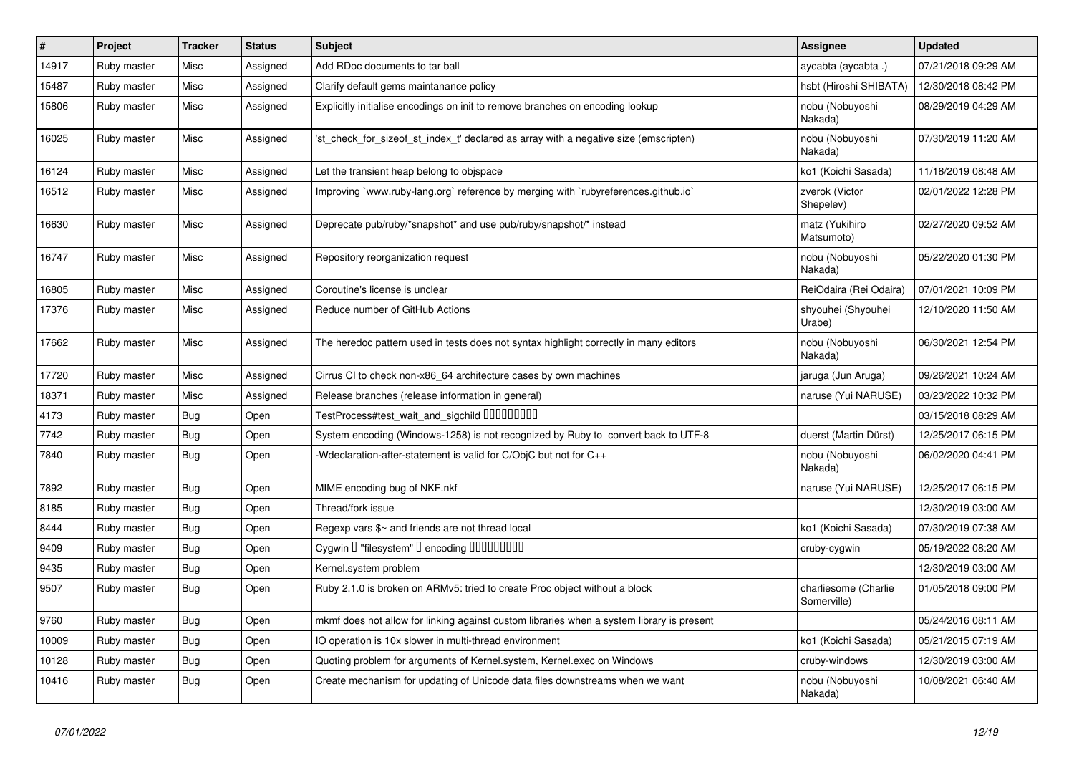| $\vert$ # | Project     | <b>Tracker</b> | <b>Status</b> | <b>Subject</b>                                                                            | <b>Assignee</b>                     | <b>Updated</b>      |
|-----------|-------------|----------------|---------------|-------------------------------------------------------------------------------------------|-------------------------------------|---------------------|
| 14917     | Ruby master | Misc           | Assigned      | Add RDoc documents to tar ball                                                            | aycabta (aycabta .)                 | 07/21/2018 09:29 AM |
| 15487     | Ruby master | Misc           | Assigned      | Clarify default gems maintanance policy                                                   | hsbt (Hiroshi SHIBATA)              | 12/30/2018 08:42 PM |
| 15806     | Ruby master | Misc           | Assigned      | Explicitly initialise encodings on init to remove branches on encoding lookup             | nobu (Nobuyoshi<br>Nakada)          | 08/29/2019 04:29 AM |
| 16025     | Ruby master | Misc           | Assigned      | 'st check for sizeof st index t' declared as array with a negative size (emscripten)      | nobu (Nobuyoshi<br>Nakada)          | 07/30/2019 11:20 AM |
| 16124     | Ruby master | Misc           | Assigned      | Let the transient heap belong to objspace                                                 | ko1 (Koichi Sasada)                 | 11/18/2019 08:48 AM |
| 16512     | Ruby master | Misc           | Assigned      | Improving `www.ruby-lang.org` reference by merging with `rubyreferences.github.io`        | zverok (Victor<br>Shepelev)         | 02/01/2022 12:28 PM |
| 16630     | Ruby master | Misc           | Assigned      | Deprecate pub/ruby/*snapshot* and use pub/ruby/snapshot/* instead                         | matz (Yukihiro<br>Matsumoto)        | 02/27/2020 09:52 AM |
| 16747     | Ruby master | Misc           | Assigned      | Repository reorganization request                                                         | nobu (Nobuyoshi<br>Nakada)          | 05/22/2020 01:30 PM |
| 16805     | Ruby master | Misc           | Assigned      | Coroutine's license is unclear                                                            | ReiOdaira (Rei Odaira)              | 07/01/2021 10:09 PM |
| 17376     | Ruby master | Misc           | Assigned      | Reduce number of GitHub Actions                                                           | shyouhei (Shyouhei<br>Urabe)        | 12/10/2020 11:50 AM |
| 17662     | Ruby master | Misc           | Assigned      | The heredoc pattern used in tests does not syntax highlight correctly in many editors     | nobu (Nobuyoshi<br>Nakada)          | 06/30/2021 12:54 PM |
| 17720     | Ruby master | Misc           | Assigned      | Cirrus CI to check non-x86_64 architecture cases by own machines                          | jaruga (Jun Aruga)                  | 09/26/2021 10:24 AM |
| 18371     | Ruby master | Misc           | Assigned      | Release branches (release information in general)                                         | naruse (Yui NARUSE)                 | 03/23/2022 10:32 PM |
| 4173      | Ruby master | <b>Bug</b>     | Open          | TestProcess#test_wait_and_sigchild DDDDDDDD                                               |                                     | 03/15/2018 08:29 AM |
| 7742      | Ruby master | <b>Bug</b>     | Open          | System encoding (Windows-1258) is not recognized by Ruby to convert back to UTF-8         | duerst (Martin Dürst)               | 12/25/2017 06:15 PM |
| 7840      | Ruby master | <b>Bug</b>     | Open          | -Wdeclaration-after-statement is valid for C/ObjC but not for C++                         | nobu (Nobuyoshi<br>Nakada)          | 06/02/2020 04:41 PM |
| 7892      | Ruby master | Bug            | Open          | MIME encoding bug of NKF.nkf                                                              | naruse (Yui NARUSE)                 | 12/25/2017 06:15 PM |
| 8185      | Ruby master | <b>Bug</b>     | Open          | Thread/fork issue                                                                         |                                     | 12/30/2019 03:00 AM |
| 8444      | Ruby master | Bug            | Open          | Regexp vars \$~ and friends are not thread local                                          | ko1 (Koichi Sasada)                 | 07/30/2019 07:38 AM |
| 9409      | Ruby master | <b>Bug</b>     | Open          | Cygwin I "filesystem" I encoding IIIIIIIIIIII                                             | cruby-cygwin                        | 05/19/2022 08:20 AM |
| 9435      | Ruby master | <b>Bug</b>     | Open          | Kernel.system problem                                                                     |                                     | 12/30/2019 03:00 AM |
| 9507      | Ruby master | <b>Bug</b>     | Open          | Ruby 2.1.0 is broken on ARMv5: tried to create Proc object without a block                | charliesome (Charlie<br>Somerville) | 01/05/2018 09:00 PM |
| 9760      | Ruby master | <b>Bug</b>     | Open          | mkmf does not allow for linking against custom libraries when a system library is present |                                     | 05/24/2016 08:11 AM |
| 10009     | Ruby master | <b>Bug</b>     | Open          | IO operation is 10x slower in multi-thread environment                                    | ko1 (Koichi Sasada)                 | 05/21/2015 07:19 AM |
| 10128     | Ruby master | Bug            | Open          | Quoting problem for arguments of Kernel.system, Kernel.exec on Windows                    | cruby-windows                       | 12/30/2019 03:00 AM |
| 10416     | Ruby master | <b>Bug</b>     | Open          | Create mechanism for updating of Unicode data files downstreams when we want              | nobu (Nobuyoshi<br>Nakada)          | 10/08/2021 06:40 AM |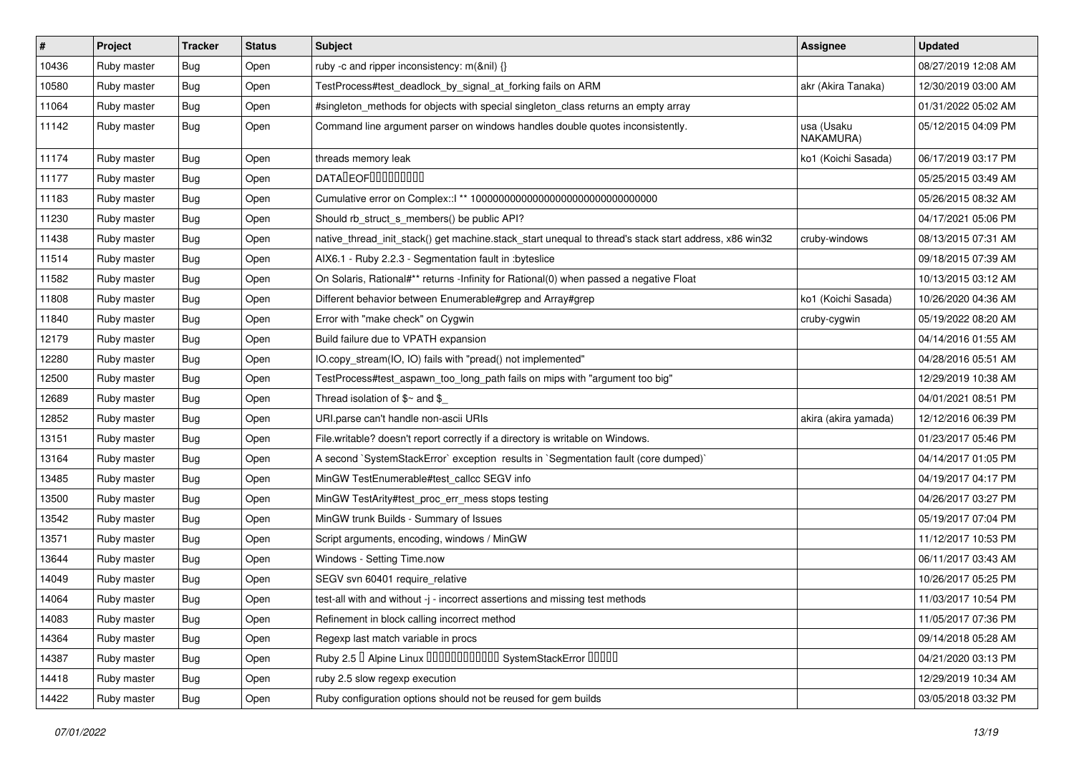| $\sharp$ | Project     | <b>Tracker</b> | <b>Status</b> | Subject                                                                                               | <b>Assignee</b>         | <b>Updated</b>      |
|----------|-------------|----------------|---------------|-------------------------------------------------------------------------------------------------------|-------------------------|---------------------|
| 10436    | Ruby master | Bug            | Open          | ruby -c and ripper inconsistency: m(&nil) {}                                                          |                         | 08/27/2019 12:08 AM |
| 10580    | Ruby master | Bug            | Open          | TestProcess#test_deadlock_by_signal_at_forking fails on ARM                                           | akr (Akira Tanaka)      | 12/30/2019 03:00 AM |
| 11064    | Ruby master | Bug            | Open          | #singleton_methods for objects with special singleton_class returns an empty array                    |                         | 01/31/2022 05:02 AM |
| 11142    | Ruby master | Bug            | Open          | Command line argument parser on windows handles double quotes inconsistently.                         | usa (Usaku<br>NAKAMURA) | 05/12/2015 04:09 PM |
| 11174    | Ruby master | Bug            | Open          | threads memory leak                                                                                   | ko1 (Koichi Sasada)     | 06/17/2019 03:17 PM |
| 11177    | Ruby master | Bug            | Open          | <b>DATADEOFOOOOOOOO</b>                                                                               |                         | 05/25/2015 03:49 AM |
| 11183    | Ruby master | Bug            | Open          | Cumulative error on Complex::   ** 100000000000000000000000000000000                                  |                         | 05/26/2015 08:32 AM |
| 11230    | Ruby master | Bug            | Open          | Should rb_struct_s_members() be public API?                                                           |                         | 04/17/2021 05:06 PM |
| 11438    | Ruby master | Bug            | Open          | native_thread_init_stack() get machine.stack_start unequal to thread's stack start address, x86 win32 | cruby-windows           | 08/13/2015 07:31 AM |
| 11514    | Ruby master | Bug            | Open          | AIX6.1 - Ruby 2.2.3 - Segmentation fault in :byteslice                                                |                         | 09/18/2015 07:39 AM |
| 11582    | Ruby master | Bug            | Open          | On Solaris, Rational#** returns -Infinity for Rational(0) when passed a negative Float                |                         | 10/13/2015 03:12 AM |
| 11808    | Ruby master | Bug            | Open          | Different behavior between Enumerable#grep and Array#grep                                             | ko1 (Koichi Sasada)     | 10/26/2020 04:36 AM |
| 11840    | Ruby master | Bug            | Open          | Error with "make check" on Cygwin                                                                     | cruby-cygwin            | 05/19/2022 08:20 AM |
| 12179    | Ruby master | Bug            | Open          | Build failure due to VPATH expansion                                                                  |                         | 04/14/2016 01:55 AM |
| 12280    | Ruby master | Bug            | Open          | IO.copy stream(IO, IO) fails with "pread() not implemented"                                           |                         | 04/28/2016 05:51 AM |
| 12500    | Ruby master | Bug            | Open          | TestProcess#test_aspawn_too_long_path fails on mips with "argument too big"                           |                         | 12/29/2019 10:38 AM |
| 12689    | Ruby master | Bug            | Open          | Thread isolation of $$~$ and $$$                                                                      |                         | 04/01/2021 08:51 PM |
| 12852    | Ruby master | Bug            | Open          | URI.parse can't handle non-ascii URIs                                                                 | akira (akira yamada)    | 12/12/2016 06:39 PM |
| 13151    | Ruby master | Bug            | Open          | File.writable? doesn't report correctly if a directory is writable on Windows.                        |                         | 01/23/2017 05:46 PM |
| 13164    | Ruby master | Bug            | Open          | A second `SystemStackError` exception results in `Segmentation fault (core dumped)`                   |                         | 04/14/2017 01:05 PM |
| 13485    | Ruby master | Bug            | Open          | MinGW TestEnumerable#test_callcc SEGV info                                                            |                         | 04/19/2017 04:17 PM |
| 13500    | Ruby master | Bug            | Open          | MinGW TestArity#test_proc_err_mess stops testing                                                      |                         | 04/26/2017 03:27 PM |
| 13542    | Ruby master | Bug            | Open          | MinGW trunk Builds - Summary of Issues                                                                |                         | 05/19/2017 07:04 PM |
| 13571    | Ruby master | <b>Bug</b>     | Open          | Script arguments, encoding, windows / MinGW                                                           |                         | 11/12/2017 10:53 PM |
| 13644    | Ruby master | Bug            | Open          | Windows - Setting Time.now                                                                            |                         | 06/11/2017 03:43 AM |
| 14049    | Ruby master | Bug            | Open          | SEGV svn 60401 require relative                                                                       |                         | 10/26/2017 05:25 PM |
| 14064    | Ruby master | <b>Bug</b>     | Open          | test-all with and without -j - incorrect assertions and missing test methods                          |                         | 11/03/2017 10:54 PM |
| 14083    | Ruby master | Bug            | Open          | Refinement in block calling incorrect method                                                          |                         | 11/05/2017 07:36 PM |
| 14364    | Ruby master | <b>Bug</b>     | Open          | Regexp last match variable in procs                                                                   |                         | 09/14/2018 05:28 AM |
| 14387    | Ruby master | <b>Bug</b>     | Open          | Ruby 2.5 <sup>D</sup> Alpine Linux 000000000000 SystemStackError 00000                                |                         | 04/21/2020 03:13 PM |
| 14418    | Ruby master | Bug            | Open          | ruby 2.5 slow regexp execution                                                                        |                         | 12/29/2019 10:34 AM |
| 14422    | Ruby master | <b>Bug</b>     | Open          | Ruby configuration options should not be reused for gem builds                                        |                         | 03/05/2018 03:32 PM |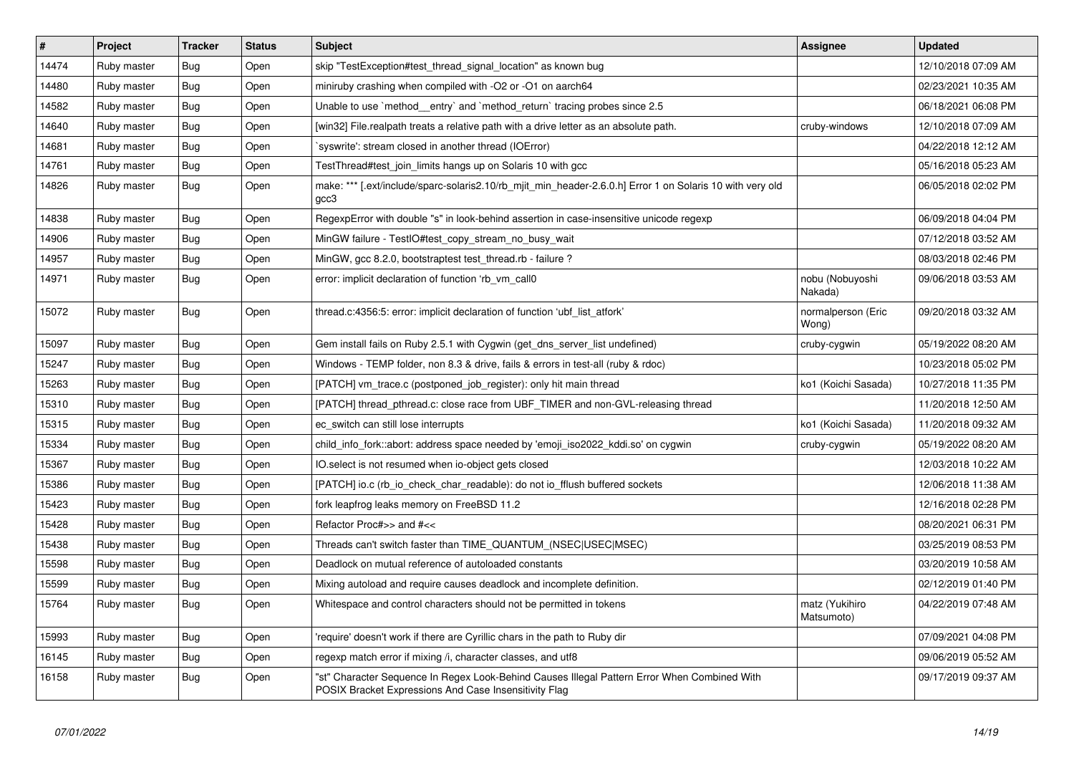| $\vert$ # | Project     | <b>Tracker</b> | <b>Status</b> | <b>Subject</b>                                                                                                                                        | <b>Assignee</b>              | <b>Updated</b>      |
|-----------|-------------|----------------|---------------|-------------------------------------------------------------------------------------------------------------------------------------------------------|------------------------------|---------------------|
| 14474     | Ruby master | Bug            | Open          | skip "TestException#test thread signal location" as known bug                                                                                         |                              | 12/10/2018 07:09 AM |
| 14480     | Ruby master | <b>Bug</b>     | Open          | miniruby crashing when compiled with -O2 or -O1 on aarch64                                                                                            |                              | 02/23/2021 10:35 AM |
| 14582     | Ruby master | <b>Bug</b>     | Open          | Unable to use `method _entry` and `method_return` tracing probes since 2.5                                                                            |                              | 06/18/2021 06:08 PM |
| 14640     | Ruby master | Bug            | Open          | [win32] File.realpath treats a relative path with a drive letter as an absolute path.                                                                 | cruby-windows                | 12/10/2018 07:09 AM |
| 14681     | Ruby master | <b>Bug</b>     | Open          | `syswrite': stream closed in another thread (IOError)                                                                                                 |                              | 04/22/2018 12:12 AM |
| 14761     | Ruby master | <b>Bug</b>     | Open          | TestThread#test_join_limits hangs up on Solaris 10 with gcc                                                                                           |                              | 05/16/2018 05:23 AM |
| 14826     | Ruby master | Bug            | Open          | make: *** [.ext/include/sparc-solaris2.10/rb_mjit_min_header-2.6.0.h] Error 1 on Solaris 10 with very old<br>gcc3                                     |                              | 06/05/2018 02:02 PM |
| 14838     | Ruby master | <b>Bug</b>     | Open          | RegexpError with double "s" in look-behind assertion in case-insensitive unicode regexp                                                               |                              | 06/09/2018 04:04 PM |
| 14906     | Ruby master | Bug            | Open          | MinGW failure - TestlO#test_copy_stream_no_busy_wait                                                                                                  |                              | 07/12/2018 03:52 AM |
| 14957     | Ruby master | Bug            | Open          | MinGW, gcc 8.2.0, bootstraptest test_thread.rb - failure ?                                                                                            |                              | 08/03/2018 02:46 PM |
| 14971     | Ruby master | Bug            | Open          | error: implicit declaration of function 'rb_vm_call0                                                                                                  | nobu (Nobuyoshi<br>Nakada)   | 09/06/2018 03:53 AM |
| 15072     | Ruby master | Bug            | Open          | thread.c:4356:5: error: implicit declaration of function 'ubf_list_atfork'                                                                            | normalperson (Eric<br>Wong)  | 09/20/2018 03:32 AM |
| 15097     | Ruby master | Bug            | Open          | Gem install fails on Ruby 2.5.1 with Cygwin (get_dns_server_list undefined)                                                                           | cruby-cygwin                 | 05/19/2022 08:20 AM |
| 15247     | Ruby master | Bug            | Open          | Windows - TEMP folder, non 8.3 & drive, fails & errors in test-all (ruby & rdoc)                                                                      |                              | 10/23/2018 05:02 PM |
| 15263     | Ruby master | <b>Bug</b>     | Open          | [PATCH] vm_trace.c (postponed_job_register): only hit main thread                                                                                     | ko1 (Koichi Sasada)          | 10/27/2018 11:35 PM |
| 15310     | Ruby master | Bug            | Open          | [PATCH] thread pthread.c: close race from UBF TIMER and non-GVL-releasing thread                                                                      |                              | 11/20/2018 12:50 AM |
| 15315     | Ruby master | Bug            | Open          | ec switch can still lose interrupts                                                                                                                   | ko1 (Koichi Sasada)          | 11/20/2018 09:32 AM |
| 15334     | Ruby master | <b>Bug</b>     | Open          | child_info_fork::abort: address space needed by 'emoji_iso2022_kddi.so' on cygwin                                                                     | cruby-cygwin                 | 05/19/2022 08:20 AM |
| 15367     | Ruby master | <b>Bug</b>     | Open          | IO.select is not resumed when io-object gets closed                                                                                                   |                              | 12/03/2018 10:22 AM |
| 15386     | Ruby master | Bug            | Open          | [PATCH] io.c (rb io check char readable): do not io fflush buffered sockets                                                                           |                              | 12/06/2018 11:38 AM |
| 15423     | Ruby master | Bug            | Open          | fork leapfrog leaks memory on FreeBSD 11.2                                                                                                            |                              | 12/16/2018 02:28 PM |
| 15428     | Ruby master | <b>Bug</b>     | Open          | Refactor Proc#>> and #<<                                                                                                                              |                              | 08/20/2021 06:31 PM |
| 15438     | Ruby master | Bug            | Open          | Threads can't switch faster than TIME QUANTUM (NSEC USEC MSEC)                                                                                        |                              | 03/25/2019 08:53 PM |
| 15598     | Ruby master | <b>Bug</b>     | Open          | Deadlock on mutual reference of autoloaded constants                                                                                                  |                              | 03/20/2019 10:58 AM |
| 15599     | Ruby master | <b>Bug</b>     | Open          | Mixing autoload and require causes deadlock and incomplete definition.                                                                                |                              | 02/12/2019 01:40 PM |
| 15764     | Ruby master | Bug            | Open          | Whitespace and control characters should not be permitted in tokens                                                                                   | matz (Yukihiro<br>Matsumoto) | 04/22/2019 07:48 AM |
| 15993     | Ruby master | <b>Bug</b>     | Open          | 'require' doesn't work if there are Cyrillic chars in the path to Ruby dir                                                                            |                              | 07/09/2021 04:08 PM |
| 16145     | Ruby master | Bug            | Open          | regexp match error if mixing /i, character classes, and utf8                                                                                          |                              | 09/06/2019 05:52 AM |
| 16158     | Ruby master | Bug            | Open          | "st" Character Sequence In Regex Look-Behind Causes Illegal Pattern Error When Combined With<br>POSIX Bracket Expressions And Case Insensitivity Flag |                              | 09/17/2019 09:37 AM |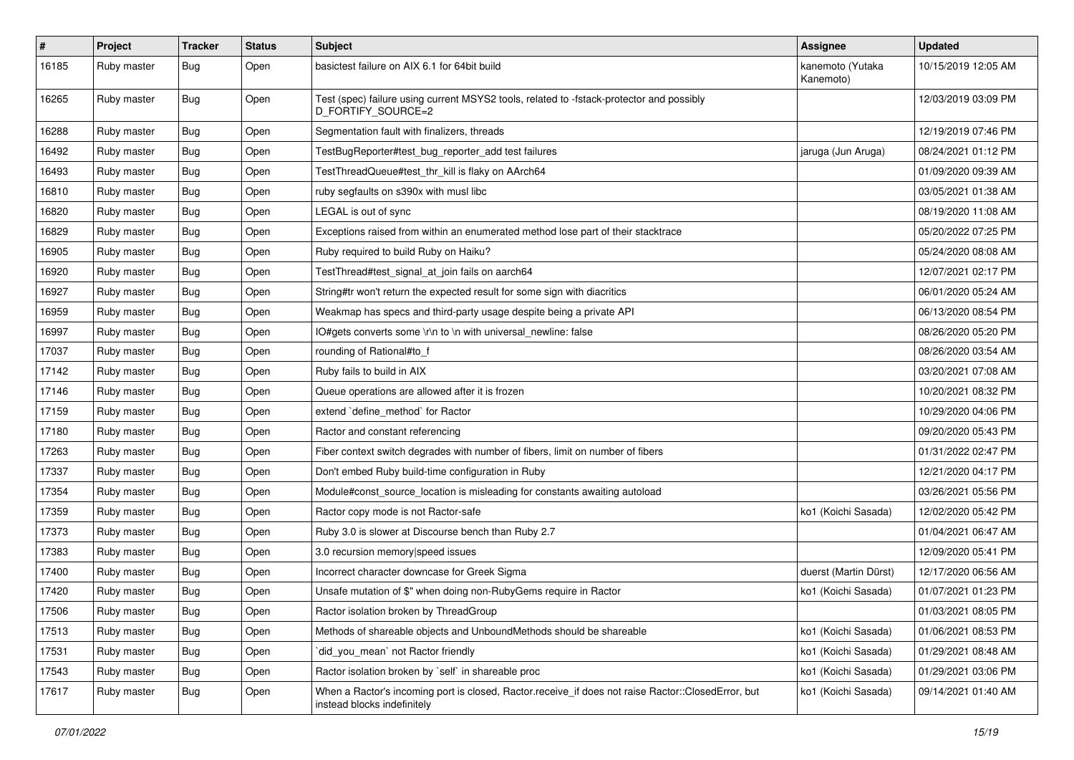| $\#$  | Project     | <b>Tracker</b> | <b>Status</b> | <b>Subject</b>                                                                                                                    | <b>Assignee</b>               | <b>Updated</b>      |
|-------|-------------|----------------|---------------|-----------------------------------------------------------------------------------------------------------------------------------|-------------------------------|---------------------|
| 16185 | Ruby master | <b>Bug</b>     | Open          | basictest failure on AIX 6.1 for 64bit build                                                                                      | kanemoto (Yutaka<br>Kanemoto) | 10/15/2019 12:05 AM |
| 16265 | Ruby master | Bug            | Open          | Test (spec) failure using current MSYS2 tools, related to -fstack-protector and possibly<br>D_FORTIFY_SOURCE=2                    |                               | 12/03/2019 03:09 PM |
| 16288 | Ruby master | Bug            | Open          | Segmentation fault with finalizers, threads                                                                                       |                               | 12/19/2019 07:46 PM |
| 16492 | Ruby master | Bug            | Open          | TestBugReporter#test_bug_reporter_add test failures                                                                               | jaruga (Jun Aruga)            | 08/24/2021 01:12 PM |
| 16493 | Ruby master | <b>Bug</b>     | Open          | TestThreadQueue#test_thr_kill is flaky on AArch64                                                                                 |                               | 01/09/2020 09:39 AM |
| 16810 | Ruby master | Bug            | Open          | ruby segfaults on s390x with musl libc                                                                                            |                               | 03/05/2021 01:38 AM |
| 16820 | Ruby master | <b>Bug</b>     | Open          | LEGAL is out of sync                                                                                                              |                               | 08/19/2020 11:08 AM |
| 16829 | Ruby master | <b>Bug</b>     | Open          | Exceptions raised from within an enumerated method lose part of their stacktrace                                                  |                               | 05/20/2022 07:25 PM |
| 16905 | Ruby master | Bug            | Open          | Ruby required to build Ruby on Haiku?                                                                                             |                               | 05/24/2020 08:08 AM |
| 16920 | Ruby master | <b>Bug</b>     | Open          | TestThread#test_signal_at_join fails on aarch64                                                                                   |                               | 12/07/2021 02:17 PM |
| 16927 | Ruby master | Bug            | Open          | String#tr won't return the expected result for some sign with diacritics                                                          |                               | 06/01/2020 05:24 AM |
| 16959 | Ruby master | Bug            | Open          | Weakmap has specs and third-party usage despite being a private API                                                               |                               | 06/13/2020 08:54 PM |
| 16997 | Ruby master | Bug            | Open          | IO#gets converts some \r\n to \n with universal_newline: false                                                                    |                               | 08/26/2020 05:20 PM |
| 17037 | Ruby master | Bug            | Open          | rounding of Rational#to_f                                                                                                         |                               | 08/26/2020 03:54 AM |
| 17142 | Ruby master | <b>Bug</b>     | Open          | Ruby fails to build in AIX                                                                                                        |                               | 03/20/2021 07:08 AM |
| 17146 | Ruby master | Bug            | Open          | Queue operations are allowed after it is frozen                                                                                   |                               | 10/20/2021 08:32 PM |
| 17159 | Ruby master | <b>Bug</b>     | Open          | extend 'define_method' for Ractor                                                                                                 |                               | 10/29/2020 04:06 PM |
| 17180 | Ruby master | Bug            | Open          | Ractor and constant referencing                                                                                                   |                               | 09/20/2020 05:43 PM |
| 17263 | Ruby master | <b>Bug</b>     | Open          | Fiber context switch degrades with number of fibers, limit on number of fibers                                                    |                               | 01/31/2022 02:47 PM |
| 17337 | Ruby master | <b>Bug</b>     | Open          | Don't embed Ruby build-time configuration in Ruby                                                                                 |                               | 12/21/2020 04:17 PM |
| 17354 | Ruby master | <b>Bug</b>     | Open          | Module#const_source_location is misleading for constants awaiting autoload                                                        |                               | 03/26/2021 05:56 PM |
| 17359 | Ruby master | Bug            | Open          | Ractor copy mode is not Ractor-safe                                                                                               | ko1 (Koichi Sasada)           | 12/02/2020 05:42 PM |
| 17373 | Ruby master | <b>Bug</b>     | Open          | Ruby 3.0 is slower at Discourse bench than Ruby 2.7                                                                               |                               | 01/04/2021 06:47 AM |
| 17383 | Ruby master | Bug            | Open          | 3.0 recursion memory speed issues                                                                                                 |                               | 12/09/2020 05:41 PM |
| 17400 | Ruby master | <b>Bug</b>     | Open          | Incorrect character downcase for Greek Sigma                                                                                      | duerst (Martin Dürst)         | 12/17/2020 06:56 AM |
| 17420 | Ruby master | Bug            | Open          | Unsafe mutation of \$" when doing non-RubyGems require in Ractor                                                                  | ko1 (Koichi Sasada)           | 01/07/2021 01:23 PM |
| 17506 | Ruby master | Bug            | Open          | Ractor isolation broken by ThreadGroup                                                                                            |                               | 01/03/2021 08:05 PM |
| 17513 | Ruby master | Bug            | Open          | Methods of shareable objects and UnboundMethods should be shareable                                                               | ko1 (Koichi Sasada)           | 01/06/2021 08:53 PM |
| 17531 | Ruby master | <b>Bug</b>     | Open          | did_you_mean` not Ractor friendly                                                                                                 | ko1 (Koichi Sasada)           | 01/29/2021 08:48 AM |
| 17543 | Ruby master | <b>Bug</b>     | Open          | Ractor isolation broken by `self` in shareable proc                                                                               | ko1 (Koichi Sasada)           | 01/29/2021 03:06 PM |
| 17617 | Ruby master | Bug            | Open          | When a Ractor's incoming port is closed, Ractor.receive_if does not raise Ractor::ClosedError, but<br>instead blocks indefinitely | ko1 (Koichi Sasada)           | 09/14/2021 01:40 AM |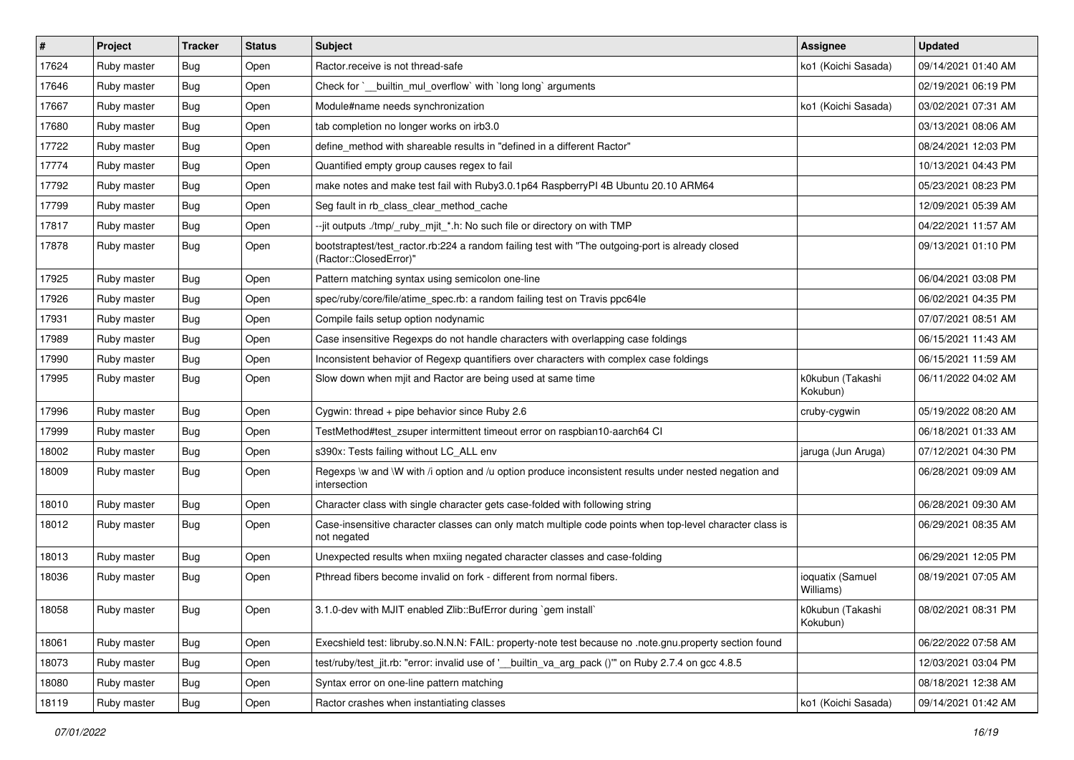| #     | Project     | <b>Tracker</b> | <b>Status</b> | Subject                                                                                                                    | <b>Assignee</b>               | <b>Updated</b>      |
|-------|-------------|----------------|---------------|----------------------------------------------------------------------------------------------------------------------------|-------------------------------|---------------------|
| 17624 | Ruby master | Bug            | Open          | Ractor.receive is not thread-safe                                                                                          | ko1 (Koichi Sasada)           | 09/14/2021 01:40 AM |
| 17646 | Ruby master | <b>Bug</b>     | Open          | Check for `__builtin_mul_overflow` with `long long` arguments                                                              |                               | 02/19/2021 06:19 PM |
| 17667 | Ruby master | Bug            | Open          | Module#name needs synchronization                                                                                          | ko1 (Koichi Sasada)           | 03/02/2021 07:31 AM |
| 17680 | Ruby master | Bug            | Open          | tab completion no longer works on irb3.0                                                                                   |                               | 03/13/2021 08:06 AM |
| 17722 | Ruby master | Bug            | Open          | define_method with shareable results in "defined in a different Ractor"                                                    |                               | 08/24/2021 12:03 PM |
| 17774 | Ruby master | Bug            | Open          | Quantified empty group causes regex to fail                                                                                |                               | 10/13/2021 04:43 PM |
| 17792 | Ruby master | Bug            | Open          | make notes and make test fail with Ruby3.0.1p64 RaspberryPI 4B Ubuntu 20.10 ARM64                                          |                               | 05/23/2021 08:23 PM |
| 17799 | Ruby master | Bug            | Open          | Seg fault in rb class clear method cache                                                                                   |                               | 12/09/2021 05:39 AM |
| 17817 | Ruby master | Bug            | Open          | --jit outputs ./tmp/_ruby_mjit_*.h: No such file or directory on with TMP                                                  |                               | 04/22/2021 11:57 AM |
| 17878 | Ruby master | Bug            | Open          | bootstraptest/test_ractor.rb:224 a random failing test with "The outgoing-port is already closed<br>(Ractor::ClosedError)" |                               | 09/13/2021 01:10 PM |
| 17925 | Ruby master | Bug            | Open          | Pattern matching syntax using semicolon one-line                                                                           |                               | 06/04/2021 03:08 PM |
| 17926 | Ruby master | Bug            | Open          | spec/ruby/core/file/atime_spec.rb: a random failing test on Travis ppc64le                                                 |                               | 06/02/2021 04:35 PM |
| 17931 | Ruby master | Bug            | Open          | Compile fails setup option nodynamic                                                                                       |                               | 07/07/2021 08:51 AM |
| 17989 | Ruby master | <b>Bug</b>     | Open          | Case insensitive Regexps do not handle characters with overlapping case foldings                                           |                               | 06/15/2021 11:43 AM |
| 17990 | Ruby master | Bug            | Open          | Inconsistent behavior of Regexp quantifiers over characters with complex case foldings                                     |                               | 06/15/2021 11:59 AM |
| 17995 | Ruby master | Bug            | Open          | Slow down when mjit and Ractor are being used at same time                                                                 | k0kubun (Takashi<br>Kokubun)  | 06/11/2022 04:02 AM |
| 17996 | Ruby master | Bug            | Open          | Cygwin: thread $+$ pipe behavior since Ruby 2.6                                                                            | cruby-cygwin                  | 05/19/2022 08:20 AM |
| 17999 | Ruby master | Bug            | Open          | TestMethod#test_zsuper intermittent timeout error on raspbian10-aarch64 CI                                                 |                               | 06/18/2021 01:33 AM |
| 18002 | Ruby master | Bug            | Open          | s390x: Tests failing without LC_ALL env                                                                                    | jaruga (Jun Aruga)            | 07/12/2021 04:30 PM |
| 18009 | Ruby master | Bug            | Open          | Regexps \w and \W with /i option and /u option produce inconsistent results under nested negation and<br>intersection      |                               | 06/28/2021 09:09 AM |
| 18010 | Ruby master | Bug            | Open          | Character class with single character gets case-folded with following string                                               |                               | 06/28/2021 09:30 AM |
| 18012 | Ruby master | Bug            | Open          | Case-insensitive character classes can only match multiple code points when top-level character class is<br>not negated    |                               | 06/29/2021 08:35 AM |
| 18013 | Ruby master | Bug            | Open          | Unexpected results when mxiing negated character classes and case-folding                                                  |                               | 06/29/2021 12:05 PM |
| 18036 | Ruby master | Bug            | Open          | Pthread fibers become invalid on fork - different from normal fibers.                                                      | ioquatix (Samuel<br>Williams) | 08/19/2021 07:05 AM |
| 18058 | Ruby master | <b>Bug</b>     | Open          | 3.1.0-dev with MJIT enabled Zlib::BufError during `gem install`                                                            | k0kubun (Takashi<br>Kokubun)  | 08/02/2021 08:31 PM |
| 18061 | Ruby master | <b>Bug</b>     | Open          | Execshield test: libruby.so.N.N.N: FAIL: property-note test because no .note.gnu.property section found                    |                               | 06/22/2022 07:58 AM |
| 18073 | Ruby master | <b>Bug</b>     | Open          | test/ruby/test_jit.rb: "error: invalid use of '__builtin_va_arg_pack ()" on Ruby 2.7.4 on gcc 4.8.5                        |                               | 12/03/2021 03:04 PM |
| 18080 | Ruby master | Bug            | Open          | Syntax error on one-line pattern matching                                                                                  |                               | 08/18/2021 12:38 AM |
| 18119 | Ruby master | <b>Bug</b>     | Open          | Ractor crashes when instantiating classes                                                                                  | ko1 (Koichi Sasada)           | 09/14/2021 01:42 AM |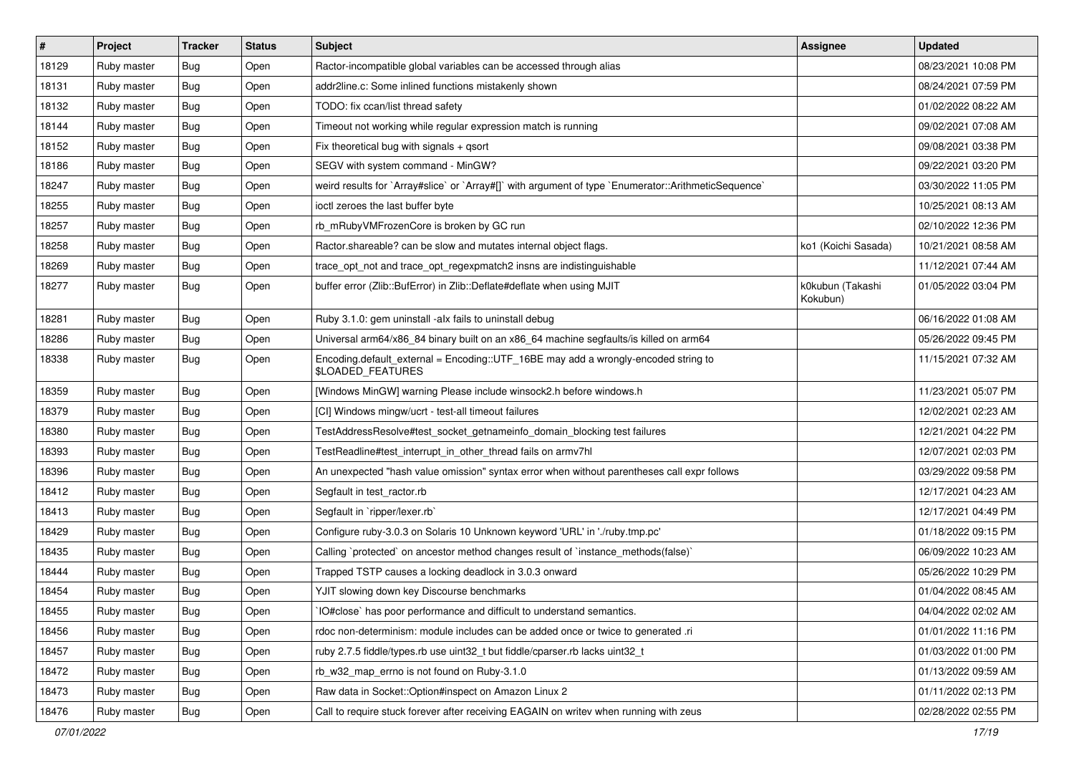| #     | Project     | <b>Tracker</b> | <b>Status</b> | Subject                                                                                                 | <b>Assignee</b>              | <b>Updated</b>      |
|-------|-------------|----------------|---------------|---------------------------------------------------------------------------------------------------------|------------------------------|---------------------|
| 18129 | Ruby master | <b>Bug</b>     | Open          | Ractor-incompatible global variables can be accessed through alias                                      |                              | 08/23/2021 10:08 PM |
| 18131 | Ruby master | <b>Bug</b>     | Open          | addr2line.c: Some inlined functions mistakenly shown                                                    |                              | 08/24/2021 07:59 PM |
| 18132 | Ruby master | <b>Bug</b>     | Open          | TODO: fix ccan/list thread safety                                                                       |                              | 01/02/2022 08:22 AM |
| 18144 | Ruby master | Bug            | Open          | Timeout not working while regular expression match is running                                           |                              | 09/02/2021 07:08 AM |
| 18152 | Ruby master | <b>Bug</b>     | Open          | Fix theoretical bug with signals + qsort                                                                |                              | 09/08/2021 03:38 PM |
| 18186 | Ruby master | Bug            | Open          | SEGV with system command - MinGW?                                                                       |                              | 09/22/2021 03:20 PM |
| 18247 | Ruby master | <b>Bug</b>     | Open          | weird results for `Array#slice` or `Array#[]` with argument of type `Enumerator::ArithmeticSequence`    |                              | 03/30/2022 11:05 PM |
| 18255 | Ruby master | Bug            | Open          | ioctl zeroes the last buffer byte                                                                       |                              | 10/25/2021 08:13 AM |
| 18257 | Ruby master | Bug            | Open          | rb_mRubyVMFrozenCore is broken by GC run                                                                |                              | 02/10/2022 12:36 PM |
| 18258 | Ruby master | <b>Bug</b>     | Open          | Ractor.shareable? can be slow and mutates internal object flags.                                        | ko1 (Koichi Sasada)          | 10/21/2021 08:58 AM |
| 18269 | Ruby master | Bug            | Open          | trace_opt_not and trace_opt_regexpmatch2 insns are indistinguishable                                    |                              | 11/12/2021 07:44 AM |
| 18277 | Ruby master | Bug            | Open          | buffer error (Zlib::BufError) in Zlib::Deflate#deflate when using MJIT                                  | k0kubun (Takashi<br>Kokubun) | 01/05/2022 03:04 PM |
| 18281 | Ruby master | <b>Bug</b>     | Open          | Ruby 3.1.0: gem uninstall -alx fails to uninstall debug                                                 |                              | 06/16/2022 01:08 AM |
| 18286 | Ruby master | <b>Bug</b>     | Open          | Universal arm64/x86_84 binary built on an x86_64 machine segfaults/is killed on arm64                   |                              | 05/26/2022 09:45 PM |
| 18338 | Ruby master | <b>Bug</b>     | Open          | Encoding.default_external = Encoding::UTF_16BE may add a wrongly-encoded string to<br>\$LOADED_FEATURES |                              | 11/15/2021 07:32 AM |
| 18359 | Ruby master | <b>Bug</b>     | Open          | [Windows MinGW] warning Please include winsock2.h before windows.h                                      |                              | 11/23/2021 05:07 PM |
| 18379 | Ruby master | Bug            | Open          | [CI] Windows mingw/ucrt - test-all timeout failures                                                     |                              | 12/02/2021 02:23 AM |
| 18380 | Ruby master | Bug            | Open          | TestAddressResolve#test_socket_getnameinfo_domain_blocking test failures                                |                              | 12/21/2021 04:22 PM |
| 18393 | Ruby master | <b>Bug</b>     | Open          | TestReadline#test_interrupt_in_other_thread fails on armv7hl                                            |                              | 12/07/2021 02:03 PM |
| 18396 | Ruby master | Bug            | Open          | An unexpected "hash value omission" syntax error when without parentheses call expr follows             |                              | 03/29/2022 09:58 PM |
| 18412 | Ruby master | Bug            | Open          | Segfault in test ractor.rb                                                                              |                              | 12/17/2021 04:23 AM |
| 18413 | Ruby master | <b>Bug</b>     | Open          | Segfault in `ripper/lexer.rb`                                                                           |                              | 12/17/2021 04:49 PM |
| 18429 | Ruby master | <b>Bug</b>     | Open          | Configure ruby-3.0.3 on Solaris 10 Unknown keyword 'URL' in './ruby.tmp.pc'                             |                              | 01/18/2022 09:15 PM |
| 18435 | Ruby master | Bug            | Open          | Calling `protected` on ancestor method changes result of `instance_methods(false)`                      |                              | 06/09/2022 10:23 AM |
| 18444 | Ruby master | Bug            | Open          | Trapped TSTP causes a locking deadlock in 3.0.3 onward                                                  |                              | 05/26/2022 10:29 PM |
| 18454 | Ruby master | Bug            | Open          | YJIT slowing down key Discourse benchmarks                                                              |                              | 01/04/2022 08:45 AM |
| 18455 | Ruby master | <b>Bug</b>     | Open          | IO#close` has poor performance and difficult to understand semantics.                                   |                              | 04/04/2022 02:02 AM |
| 18456 | Ruby master | <b>Bug</b>     | Open          | rdoc non-determinism: module includes can be added once or twice to generated .ri                       |                              | 01/01/2022 11:16 PM |
| 18457 | Ruby master | <b>Bug</b>     | Open          | ruby 2.7.5 fiddle/types.rb use uint32_t but fiddle/cparser.rb lacks uint32_t                            |                              | 01/03/2022 01:00 PM |
| 18472 | Ruby master | Bug            | Open          | rb w32 map errno is not found on Ruby-3.1.0                                                             |                              | 01/13/2022 09:59 AM |
| 18473 | Ruby master | <b>Bug</b>     | Open          | Raw data in Socket::Option#inspect on Amazon Linux 2                                                    |                              | 01/11/2022 02:13 PM |
| 18476 | Ruby master | <b>Bug</b>     | Open          | Call to require stuck forever after receiving EAGAIN on writev when running with zeus                   |                              | 02/28/2022 02:55 PM |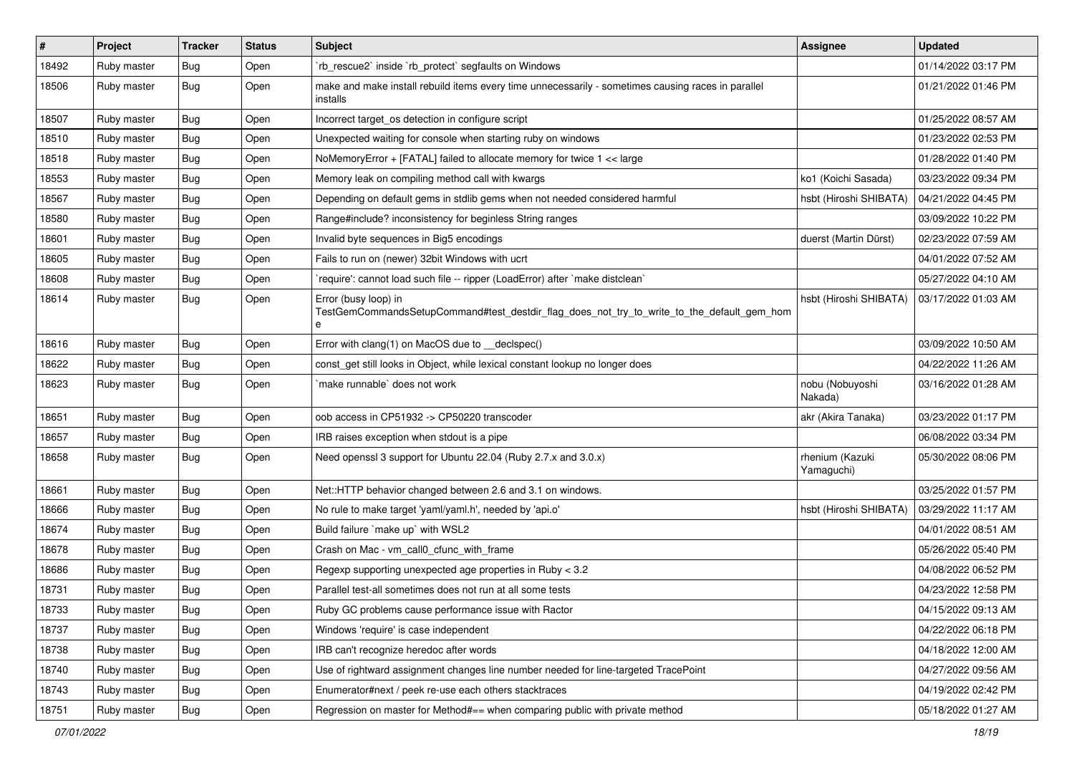| $\pmb{\#}$ | Project     | <b>Tracker</b> | <b>Status</b> | Subject                                                                                                                 | <b>Assignee</b>               | <b>Updated</b>      |
|------------|-------------|----------------|---------------|-------------------------------------------------------------------------------------------------------------------------|-------------------------------|---------------------|
| 18492      | Ruby master | <b>Bug</b>     | Open          | 'rb_rescue2' inside 'rb_protect' segfaults on Windows                                                                   |                               | 01/14/2022 03:17 PM |
| 18506      | Ruby master | Bug            | Open          | make and make install rebuild items every time unnecessarily - sometimes causing races in parallel<br>installs          |                               | 01/21/2022 01:46 PM |
| 18507      | Ruby master | <b>Bug</b>     | Open          | Incorrect target_os detection in configure script                                                                       |                               | 01/25/2022 08:57 AM |
| 18510      | Ruby master | Bug            | Open          | Unexpected waiting for console when starting ruby on windows                                                            |                               | 01/23/2022 02:53 PM |
| 18518      | Ruby master | <b>Bug</b>     | Open          | NoMemoryError + [FATAL] failed to allocate memory for twice 1 << large                                                  |                               | 01/28/2022 01:40 PM |
| 18553      | Ruby master | <b>Bug</b>     | Open          | Memory leak on compiling method call with kwargs                                                                        | ko1 (Koichi Sasada)           | 03/23/2022 09:34 PM |
| 18567      | Ruby master | <b>Bug</b>     | Open          | Depending on default gems in stdlib gems when not needed considered harmful                                             | hsbt (Hiroshi SHIBATA)        | 04/21/2022 04:45 PM |
| 18580      | Ruby master | Bug            | Open          | Range#include? inconsistency for beginless String ranges                                                                |                               | 03/09/2022 10:22 PM |
| 18601      | Ruby master | Bug            | Open          | Invalid byte sequences in Big5 encodings                                                                                | duerst (Martin Dürst)         | 02/23/2022 07:59 AM |
| 18605      | Ruby master | Bug            | Open          | Fails to run on (newer) 32bit Windows with ucrt                                                                         |                               | 04/01/2022 07:52 AM |
| 18608      | Ruby master | <b>Bug</b>     | Open          | 'require': cannot load such file -- ripper (LoadError) after 'make distclean'                                           |                               | 05/27/2022 04:10 AM |
| 18614      | Ruby master | Bug            | Open          | Error (busy loop) in<br>TestGemCommandsSetupCommand#test_destdir_flag_does_not_try_to_write_to_the_default_gem_hom<br>е | hsbt (Hiroshi SHIBATA)        | 03/17/2022 01:03 AM |
| 18616      | Ruby master | Bug            | Open          | Error with clang(1) on MacOS due to __declspec()                                                                        |                               | 03/09/2022 10:50 AM |
| 18622      | Ruby master | <b>Bug</b>     | Open          | const_get still looks in Object, while lexical constant lookup no longer does                                           |                               | 04/22/2022 11:26 AM |
| 18623      | Ruby master | Bug            | Open          | `make runnable` does not work                                                                                           | nobu (Nobuyoshi<br>Nakada)    | 03/16/2022 01:28 AM |
| 18651      | Ruby master | <b>Bug</b>     | Open          | oob access in CP51932 -> CP50220 transcoder                                                                             | akr (Akira Tanaka)            | 03/23/2022 01:17 PM |
| 18657      | Ruby master | Bug            | Open          | IRB raises exception when stdout is a pipe                                                                              |                               | 06/08/2022 03:34 PM |
| 18658      | Ruby master | <b>Bug</b>     | Open          | Need openssl 3 support for Ubuntu 22.04 (Ruby 2.7.x and 3.0.x)                                                          | rhenium (Kazuki<br>Yamaguchi) | 05/30/2022 08:06 PM |
| 18661      | Ruby master | <b>Bug</b>     | Open          | Net::HTTP behavior changed between 2.6 and 3.1 on windows.                                                              |                               | 03/25/2022 01:57 PM |
| 18666      | Ruby master | <b>Bug</b>     | Open          | No rule to make target 'yaml/yaml.h', needed by 'api.o'                                                                 | hsbt (Hiroshi SHIBATA)        | 03/29/2022 11:17 AM |
| 18674      | Ruby master | Bug            | Open          | Build failure `make up` with WSL2                                                                                       |                               | 04/01/2022 08:51 AM |
| 18678      | Ruby master | <b>Bug</b>     | Open          | Crash on Mac - vm_call0_cfunc_with_frame                                                                                |                               | 05/26/2022 05:40 PM |
| 18686      | Ruby master | <b>Bug</b>     | Open          | Regexp supporting unexpected age properties in Ruby < 3.2                                                               |                               | 04/08/2022 06:52 PM |
| 18731      | Ruby master | Bug            | Open          | Parallel test-all sometimes does not run at all some tests                                                              |                               | 04/23/2022 12:58 PM |
| 18733      | Ruby master | Bug            | Open          | Ruby GC problems cause performance issue with Ractor                                                                    |                               | 04/15/2022 09:13 AM |
| 18737      | Ruby master | Bug            | Open          | Windows 'require' is case independent                                                                                   |                               | 04/22/2022 06:18 PM |
| 18738      | Ruby master | Bug            | Open          | IRB can't recognize heredoc after words                                                                                 |                               | 04/18/2022 12:00 AM |
| 18740      | Ruby master | <b>Bug</b>     | Open          | Use of rightward assignment changes line number needed for line-targeted TracePoint                                     |                               | 04/27/2022 09:56 AM |
| 18743      | Ruby master | Bug            | Open          | Enumerator#next / peek re-use each others stacktraces                                                                   |                               | 04/19/2022 02:42 PM |
| 18751      | Ruby master | <b>Bug</b>     | Open          | Regression on master for Method#== when comparing public with private method                                            |                               | 05/18/2022 01:27 AM |